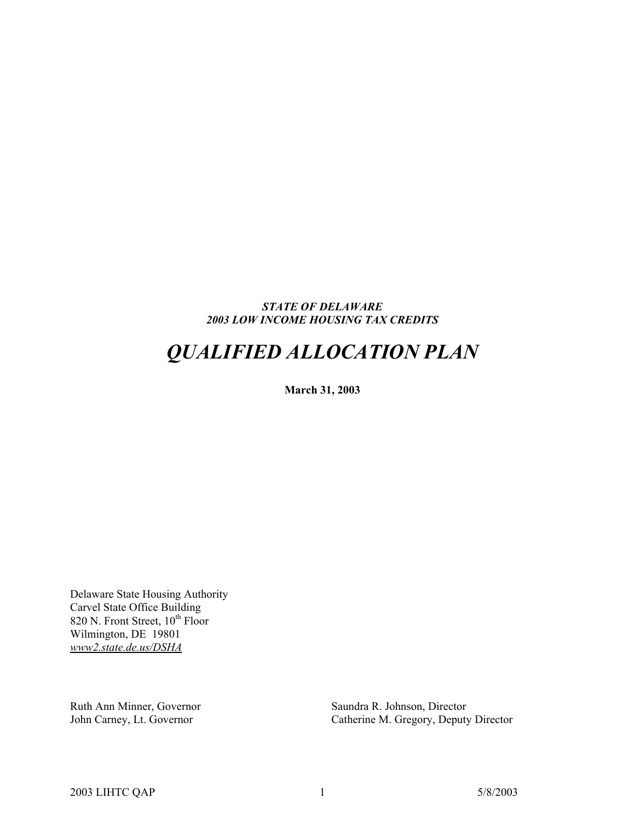#### *STATE OF DELAWARE 2003 LOW INCOME HOUSING TAX CREDITS*

# *QUALIFIED ALLOCATION PLAN*

**March 31, 2003** 

Delaware State Housing Authority Carvel State Office Building 820 N. Front Street,  $10^{th}$  Floor Wilmington, DE 19801 *www2.state.de.us/DSHA*

Ruth Ann Minner, Governor Saundra R. Johnson, Director John Carney, Lt. Governor Catherine M. Gregory, Deputy

Catherine M. Gregory, Deputy Director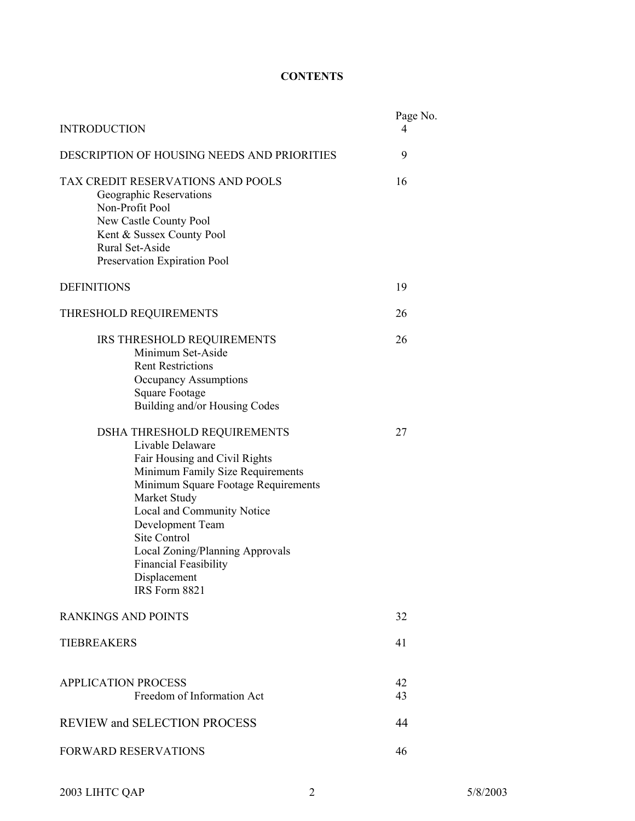## **CONTENTS**

| <b>INTRODUCTION</b>                                                                                                                                                                                                                                                                                                                                      |          |  |  |  |  |
|----------------------------------------------------------------------------------------------------------------------------------------------------------------------------------------------------------------------------------------------------------------------------------------------------------------------------------------------------------|----------|--|--|--|--|
| DESCRIPTION OF HOUSING NEEDS AND PRIORITIES                                                                                                                                                                                                                                                                                                              |          |  |  |  |  |
| TAX CREDIT RESERVATIONS AND POOLS<br>Geographic Reservations<br>Non-Profit Pool<br>New Castle County Pool<br>Kent & Sussex County Pool<br>Rural Set-Aside<br>Preservation Expiration Pool                                                                                                                                                                | 16       |  |  |  |  |
| <b>DEFINITIONS</b>                                                                                                                                                                                                                                                                                                                                       | 19       |  |  |  |  |
| THRESHOLD REQUIREMENTS                                                                                                                                                                                                                                                                                                                                   | 26       |  |  |  |  |
| IRS THRESHOLD REQUIREMENTS<br>Minimum Set-Aside<br><b>Rent Restrictions</b><br>Occupancy Assumptions<br><b>Square Footage</b><br>Building and/or Housing Codes                                                                                                                                                                                           | 26       |  |  |  |  |
| <b>DSHA THRESHOLD REQUIREMENTS</b><br>Livable Delaware<br>Fair Housing and Civil Rights<br>Minimum Family Size Requirements<br>Minimum Square Footage Requirements<br>Market Study<br>Local and Community Notice<br>Development Team<br>Site Control<br>Local Zoning/Planning Approvals<br><b>Financial Feasibility</b><br>Displacement<br>IRS Form 8821 | 27       |  |  |  |  |
| <b>RANKINGS AND POINTS</b>                                                                                                                                                                                                                                                                                                                               | 32       |  |  |  |  |
| <b>TIEBREAKERS</b>                                                                                                                                                                                                                                                                                                                                       | 41       |  |  |  |  |
| <b>APPLICATION PROCESS</b><br>Freedom of Information Act                                                                                                                                                                                                                                                                                                 | 42<br>43 |  |  |  |  |
| <b>REVIEW and SELECTION PROCESS</b>                                                                                                                                                                                                                                                                                                                      | 44       |  |  |  |  |
| <b>FORWARD RESERVATIONS</b>                                                                                                                                                                                                                                                                                                                              | 46       |  |  |  |  |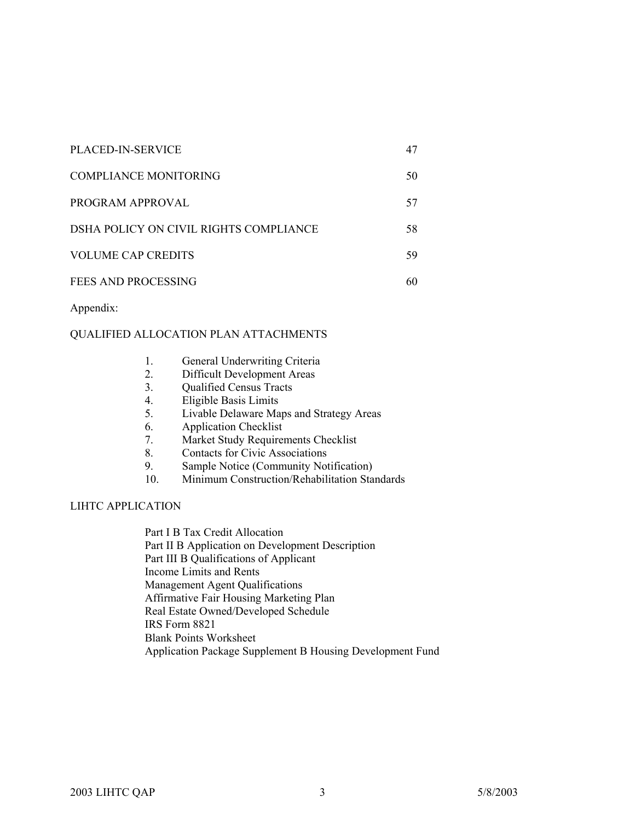| PLACED-IN-SERVICE                      | 47 |
|----------------------------------------|----|
| COMPLIANCE MONITORING                  | 50 |
| PROGRAM APPROVAL                       | 57 |
| DSHA POLICY ON CIVIL RIGHTS COMPLIANCE | 58 |
| <b>VOLUME CAP CREDITS</b>              | 59 |
| FEES AND PROCESSING                    |    |

Appendix:

#### QUALIFIED ALLOCATION PLAN ATTACHMENTS

| -1. | General Underwriting Criteria |  |
|-----|-------------------------------|--|
|-----|-------------------------------|--|

- 2. Difficult Development Areas
- 3. Qualified Census Tracts
- 4. Eligible Basis Limits
- 5. Livable Delaware Maps and Strategy Areas
- 6. Application Checklist
- 7. Market Study Requirements Checklist
- 8. Contacts for Civic Associations
- 9. Sample Notice (Community Notification)
- 10. Minimum Construction/Rehabilitation Standards

#### LIHTC APPLICATION

Part I B Tax Credit Allocation Part II B Application on Development Description Part III B Qualifications of Applicant Income Limits and Rents Management Agent Qualifications Affirmative Fair Housing Marketing Plan Real Estate Owned/Developed Schedule IRS Form 8821 Blank Points Worksheet Application Package Supplement B Housing Development Fund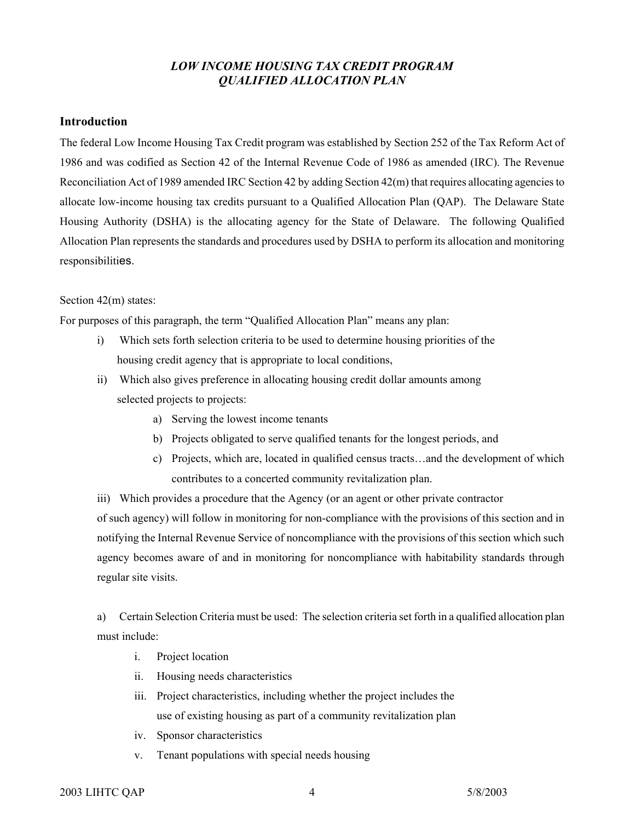## *LOW INCOME HOUSING TAX CREDIT PROGRAM QUALIFIED ALLOCATION PLAN*

#### **Introduction**

The federal Low Income Housing Tax Credit program was established by Section 252 of the Tax Reform Act of 1986 and was codified as Section 42 of the Internal Revenue Code of 1986 as amended (IRC). The Revenue Reconciliation Act of 1989 amended IRC Section 42 by adding Section 42(m) that requires allocating agenciesto allocate low-income housing tax credits pursuant to a Qualified Allocation Plan (QAP). The Delaware State Housing Authority (DSHA) is the allocating agency for the State of Delaware. The following Qualified Allocation Plan represents the standards and procedures used by DSHA to perform its allocation and monitoring responsibilities.

#### Section 42(m) states:

For purposes of this paragraph, the term "Qualified Allocation Plan" means any plan:

- i) Which sets forth selection criteria to be used to determine housing priorities of the housing credit agency that is appropriate to local conditions,
- ii) Which also gives preference in allocating housing credit dollar amounts among selected projects to projects:
	- a) Serving the lowest income tenants
	- b) Projects obligated to serve qualified tenants for the longest periods, and
	- c) Projects, which are, located in qualified census tracts…and the development of which contributes to a concerted community revitalization plan.

iii) Which provides a procedure that the Agency (or an agent or other private contractor of such agency) will follow in monitoring for non-compliance with the provisions of this section and in notifying the Internal Revenue Service of noncompliance with the provisions of this section which such agency becomes aware of and in monitoring for noncompliance with habitability standards through regular site visits.

a) Certain Selection Criteria must be used: The selection criteria set forth in a qualified allocation plan must include:

- i. Project location
- ii. Housing needs characteristics
- iii. Project characteristics, including whether the project includes the use of existing housing as part of a community revitalization plan
- iv. Sponsor characteristics
- v. Tenant populations with special needs housing

#### 2003 LIHTC QAP 4 5/8/2003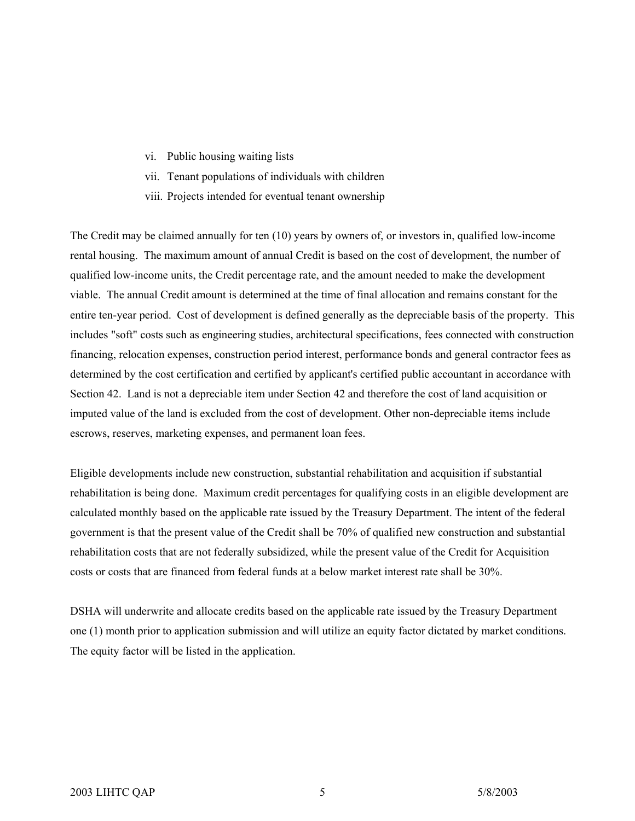- vi. Public housing waiting lists
- vii. Tenant populations of individuals with children
- viii. Projects intended for eventual tenant ownership

The Credit may be claimed annually for ten (10) years by owners of, or investors in, qualified low-income rental housing. The maximum amount of annual Credit is based on the cost of development, the number of qualified low-income units, the Credit percentage rate, and the amount needed to make the development viable. The annual Credit amount is determined at the time of final allocation and remains constant for the entire ten-year period. Cost of development is defined generally as the depreciable basis of the property. This includes "soft" costs such as engineering studies, architectural specifications, fees connected with construction financing, relocation expenses, construction period interest, performance bonds and general contractor fees as determined by the cost certification and certified by applicant's certified public accountant in accordance with Section 42. Land is not a depreciable item under Section 42 and therefore the cost of land acquisition or imputed value of the land is excluded from the cost of development. Other non-depreciable items include escrows, reserves, marketing expenses, and permanent loan fees.

Eligible developments include new construction, substantial rehabilitation and acquisition if substantial rehabilitation is being done. Maximum credit percentages for qualifying costs in an eligible development are calculated monthly based on the applicable rate issued by the Treasury Department. The intent of the federal government is that the present value of the Credit shall be 70% of qualified new construction and substantial rehabilitation costs that are not federally subsidized, while the present value of the Credit for Acquisition costs or costs that are financed from federal funds at a below market interest rate shall be 30%.

DSHA will underwrite and allocate credits based on the applicable rate issued by the Treasury Department one (1) month prior to application submission and will utilize an equity factor dictated by market conditions. The equity factor will be listed in the application.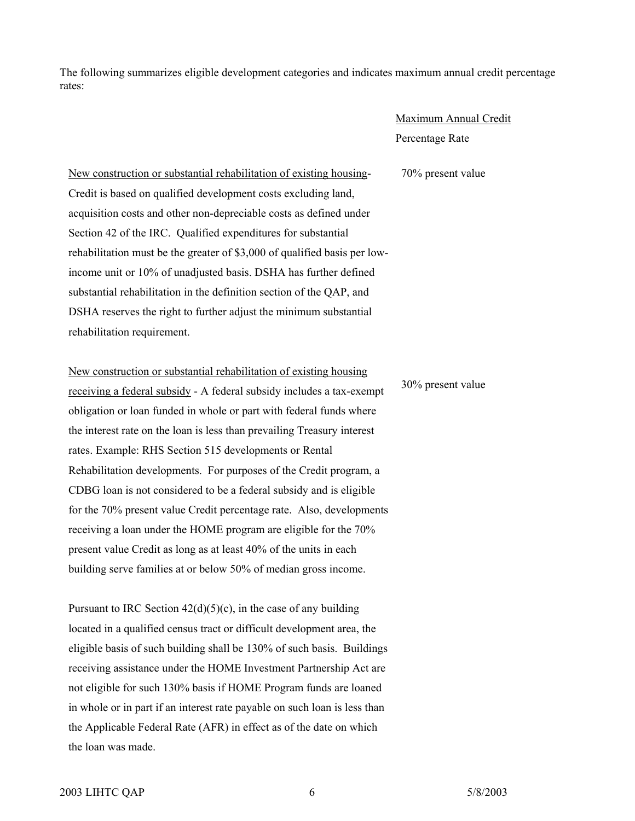The following summarizes eligible development categories and indicates maximum annual credit percentage rates:

## Maximum Annual Credit Percentage Rate

70% present value

New construction or substantial rehabilitation of existing housing-Credit is based on qualified development costs excluding land, acquisition costs and other non-depreciable costs as defined under Section 42 of the IRC. Qualified expenditures for substantial rehabilitation must be the greater of \$3,000 of qualified basis per lowincome unit or 10% of unadjusted basis. DSHA has further defined substantial rehabilitation in the definition section of the QAP, and DSHA reserves the right to further adjust the minimum substantial rehabilitation requirement.

New construction or substantial rehabilitation of existing housing receiving a federal subsidy - A federal subsidy includes a tax-exempt obligation or loan funded in whole or part with federal funds where the interest rate on the loan is less than prevailing Treasury interest rates. Example: RHS Section 515 developments or Rental Rehabilitation developments. For purposes of the Credit program, a CDBG loan is not considered to be a federal subsidy and is eligible for the 70% present value Credit percentage rate. Also, developments receiving a loan under the HOME program are eligible for the 70% present value Credit as long as at least 40% of the units in each building serve families at or below 50% of median gross income.

Pursuant to IRC Section  $42(d)(5)(c)$ , in the case of any building located in a qualified census tract or difficult development area, the eligible basis of such building shall be 130% of such basis. Buildings receiving assistance under the HOME Investment Partnership Act are not eligible for such 130% basis if HOME Program funds are loaned in whole or in part if an interest rate payable on such loan is less than the Applicable Federal Rate (AFR) in effect as of the date on which the loan was made.

30% present value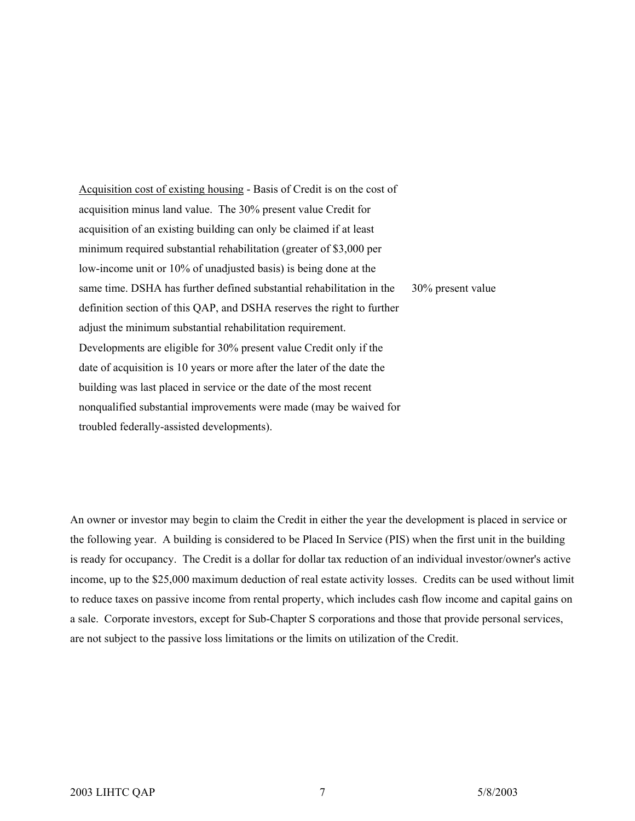Acquisition cost of existing housing - Basis of Credit is on the cost of acquisition minus land value. The 30% present value Credit for acquisition of an existing building can only be claimed if at least minimum required substantial rehabilitation (greater of \$3,000 per low-income unit or 10% of unadjusted basis) is being done at the same time. DSHA has further defined substantial rehabilitation in the definition section of this QAP, and DSHA reserves the right to further adjust the minimum substantial rehabilitation requirement. Developments are eligible for 30% present value Credit only if the date of acquisition is 10 years or more after the later of the date the building was last placed in service or the date of the most recent nonqualified substantial improvements were made (may be waived for troubled federally-assisted developments). 30% present value

An owner or investor may begin to claim the Credit in either the year the development is placed in service or the following year. A building is considered to be Placed In Service (PIS) when the first unit in the building is ready for occupancy. The Credit is a dollar for dollar tax reduction of an individual investor/owner's active income, up to the \$25,000 maximum deduction of real estate activity losses. Credits can be used without limit to reduce taxes on passive income from rental property, which includes cash flow income and capital gains on a sale. Corporate investors, except for Sub-Chapter S corporations and those that provide personal services, are not subject to the passive loss limitations or the limits on utilization of the Credit.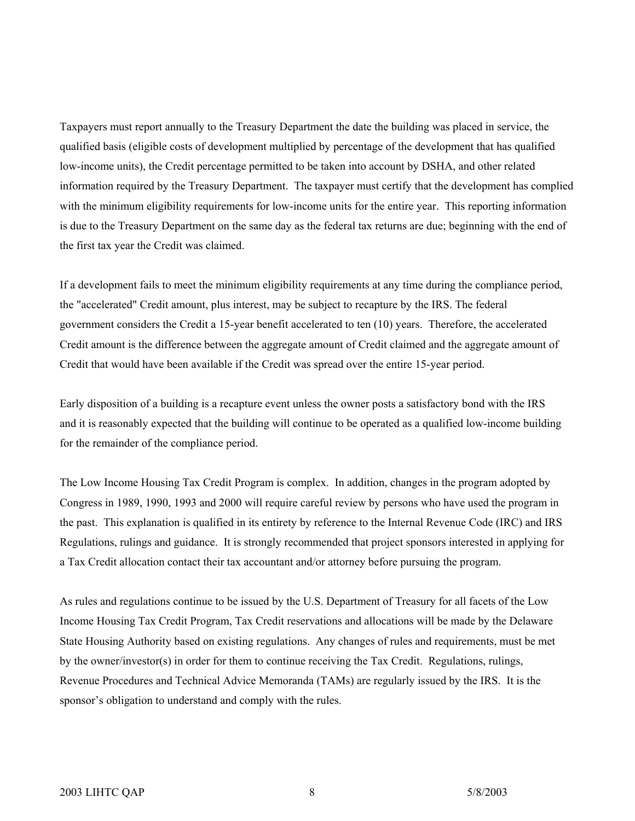Taxpayers must report annually to the Treasury Department the date the building was placed in service, the qualified basis (eligible costs of development multiplied by percentage of the development that has qualified low-income units), the Credit percentage permitted to be taken into account by DSHA, and other related information required by the Treasury Department. The taxpayer must certify that the development has complied with the minimum eligibility requirements for low-income units for the entire year. This reporting information is due to the Treasury Department on the same day as the federal tax returns are due; beginning with the end of the first tax year the Credit was claimed.

If a development fails to meet the minimum eligibility requirements at any time during the compliance period, the "accelerated" Credit amount, plus interest, may be subject to recapture by the IRS. The federal government considers the Credit a 15-year benefit accelerated to ten (10) years. Therefore, the accelerated Credit amount is the difference between the aggregate amount of Credit claimed and the aggregate amount of Credit that would have been available if the Credit was spread over the entire 15-year period.

Early disposition of a building is a recapture event unless the owner posts a satisfactory bond with the IRS and it is reasonably expected that the building will continue to be operated as a qualified low-income building for the remainder of the compliance period.

The Low Income Housing Tax Credit Program is complex. In addition, changes in the program adopted by Congress in 1989, 1990, 1993 and 2000 will require careful review by persons who have used the program in the past. This explanation is qualified in its entirety by reference to the Internal Revenue Code (IRC) and IRS Regulations, rulings and guidance. It is strongly recommended that project sponsors interested in applying for a Tax Credit allocation contact their tax accountant and/or attorney before pursuing the program.

As rules and regulations continue to be issued by the U.S. Department of Treasury for all facets of the Low Income Housing Tax Credit Program, Tax Credit reservations and allocations will be made by the Delaware State Housing Authority based on existing regulations. Any changes of rules and requirements, must be met by the owner/investor(s) in order for them to continue receiving the Tax Credit. Regulations, rulings, Revenue Procedures and Technical Advice Memoranda (TAMs) are regularly issued by the IRS. It is the sponsor's obligation to understand and comply with the rules.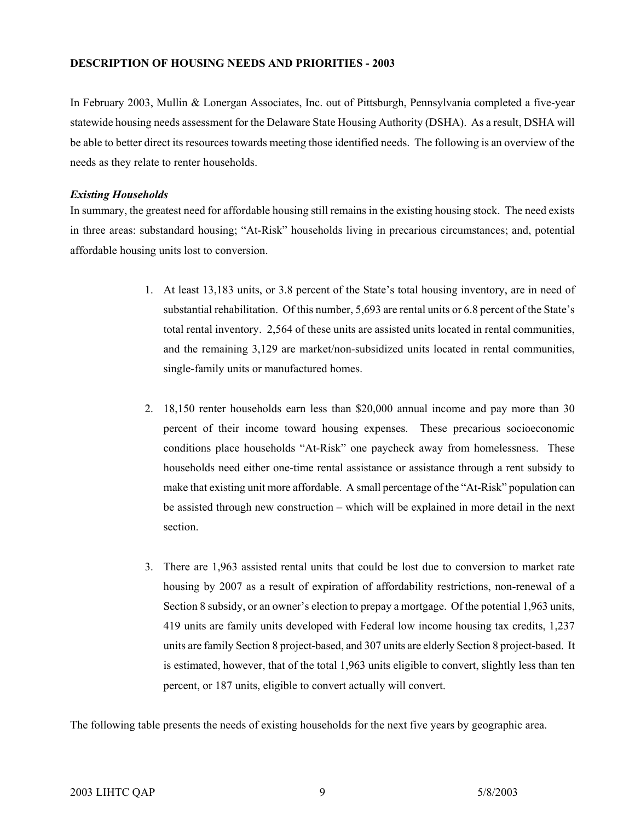#### **DESCRIPTION OF HOUSING NEEDS AND PRIORITIES - 2003**

In February 2003, Mullin & Lonergan Associates, Inc. out of Pittsburgh, Pennsylvania completed a five-year statewide housing needs assessment for the Delaware State Housing Authority (DSHA). As a result, DSHA will be able to better direct its resources towards meeting those identified needs. The following is an overview of the needs as they relate to renter households.

#### *Existing Households*

In summary, the greatest need for affordable housing still remains in the existing housing stock. The need exists in three areas: substandard housing; "At-Risk" households living in precarious circumstances; and, potential affordable housing units lost to conversion.

- 1. At least 13,183 units, or 3.8 percent of the State's total housing inventory, are in need of substantial rehabilitation. Of this number, 5,693 are rental units or 6.8 percent of the State's total rental inventory. 2,564 of these units are assisted units located in rental communities, and the remaining 3,129 are market/non-subsidized units located in rental communities, single-family units or manufactured homes.
- 2. 18,150 renter households earn less than \$20,000 annual income and pay more than 30 percent of their income toward housing expenses. These precarious socioeconomic conditions place households "At-Risk" one paycheck away from homelessness. These households need either one-time rental assistance or assistance through a rent subsidy to make that existing unit more affordable. A small percentage of the "At-Risk" population can be assisted through new construction – which will be explained in more detail in the next section.
- 3. There are 1,963 assisted rental units that could be lost due to conversion to market rate housing by 2007 as a result of expiration of affordability restrictions, non-renewal of a Section 8 subsidy, or an owner's election to prepay a mortgage. Of the potential 1,963 units, 419 units are family units developed with Federal low income housing tax credits, 1,237 units are family Section 8 project-based, and 307 units are elderly Section 8 project-based. It is estimated, however, that of the total 1,963 units eligible to convert, slightly less than ten percent, or 187 units, eligible to convert actually will convert.

The following table presents the needs of existing households for the next five years by geographic area.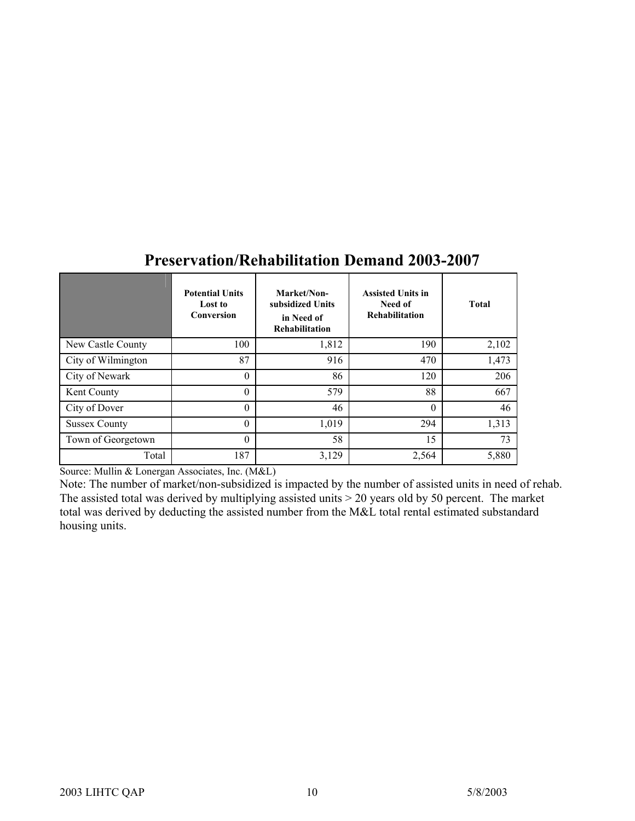|                      | <b>Potential Units</b><br>Lost to<br>Conversion | Market/Non-<br>subsidized Units<br>in Need of<br>Rehabilitation | <b>Assisted Units in</b><br>Need of<br>Rehabilitation | <b>Total</b> |
|----------------------|-------------------------------------------------|-----------------------------------------------------------------|-------------------------------------------------------|--------------|
| New Castle County    | 100                                             | 1,812                                                           | 190                                                   | 2,102        |
| City of Wilmington   | 87                                              | 916                                                             | 470                                                   | 1,473        |
| City of Newark       | $\theta$                                        | 86                                                              | 120                                                   | 206          |
| Kent County          | $\theta$                                        | 579                                                             | 88                                                    | 667          |
| City of Dover        | $\theta$                                        | 46                                                              | $\theta$                                              | 46           |
| <b>Sussex County</b> | $\theta$                                        | 1,019                                                           | 294                                                   | 1,313        |
| Town of Georgetown   | $\theta$                                        | 58                                                              | 15                                                    | 73           |
| Total                | 187                                             | 3,129                                                           | 2,564                                                 | 5,880        |

## **Preservation/Rehabilitation Demand 2003-2007**

Source: Mullin & Lonergan Associates, Inc. (M&L)

Note: The number of market/non-subsidized is impacted by the number of assisted units in need of rehab. The assisted total was derived by multiplying assisted units > 20 years old by 50 percent. The market total was derived by deducting the assisted number from the M&L total rental estimated substandard housing units.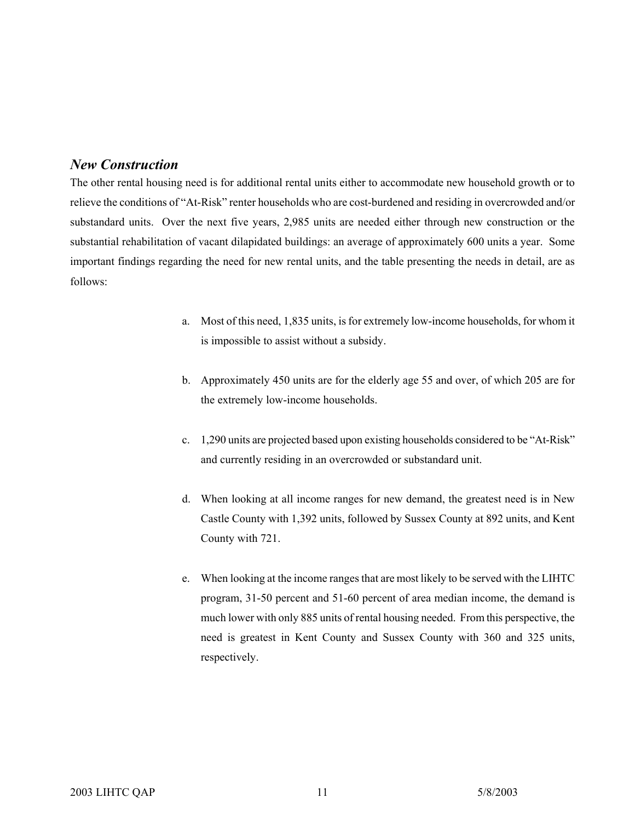## *New Construction*

The other rental housing need is for additional rental units either to accommodate new household growth or to relieve the conditions of "At-Risk" renter households who are cost-burdened and residing in overcrowded and/or substandard units. Over the next five years, 2,985 units are needed either through new construction or the substantial rehabilitation of vacant dilapidated buildings: an average of approximately 600 units a year. Some important findings regarding the need for new rental units, and the table presenting the needs in detail, are as follows:

- a. Most of this need, 1,835 units, is for extremely low-income households, for whom it is impossible to assist without a subsidy.
- b. Approximately 450 units are for the elderly age 55 and over, of which 205 are for the extremely low-income households.
- c. 1,290 units are projected based upon existing households considered to be "At-Risk" and currently residing in an overcrowded or substandard unit.
- d. When looking at all income ranges for new demand, the greatest need is in New Castle County with 1,392 units, followed by Sussex County at 892 units, and Kent County with 721.
- e. When looking at the income ranges that are most likely to be served with the LIHTC program, 31-50 percent and 51-60 percent of area median income, the demand is much lower with only 885 units of rental housing needed. From this perspective, the need is greatest in Kent County and Sussex County with 360 and 325 units, respectively.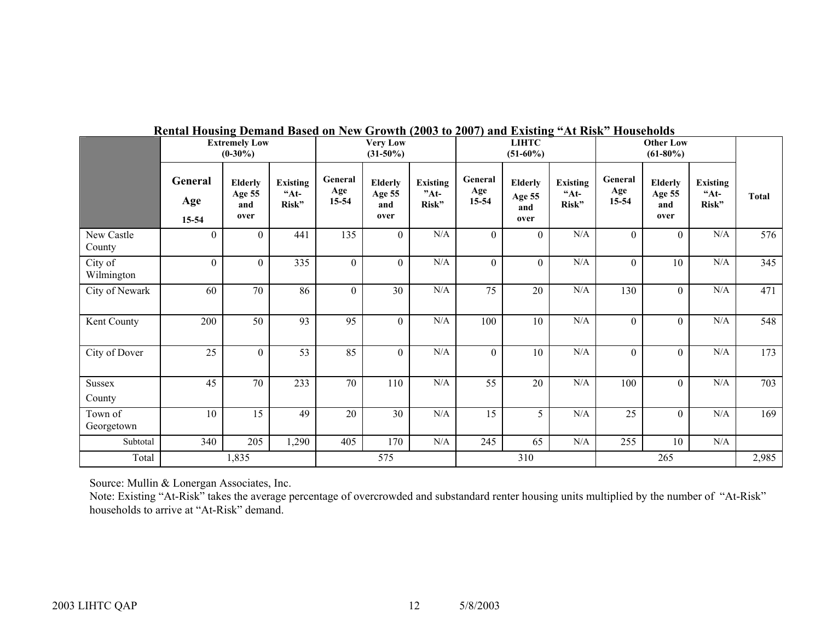|                       | <b>Extremely Low</b><br>$(0-30\%)$ |                                  |                                   | <b>Very Low</b><br>$(31-50\%)$ |                                         | <b>LIHTC</b><br>$(51-60\%)$        |                         |                                         | <b>Other Low</b><br>$(61-80\%)$   |                         |                                         |                                   |              |
|-----------------------|------------------------------------|----------------------------------|-----------------------------------|--------------------------------|-----------------------------------------|------------------------------------|-------------------------|-----------------------------------------|-----------------------------------|-------------------------|-----------------------------------------|-----------------------------------|--------------|
|                       | General<br>Age<br>15-54            | Elderly<br>Age 55<br>and<br>over | <b>Existing</b><br>$A_t$<br>Risk" | General<br>Age<br>15-54        | <b>Elderly</b><br>Age 55<br>and<br>over | <b>Existing</b><br>$"At-$<br>Risk" | General<br>Age<br>15-54 | <b>Elderly</b><br>Age 55<br>and<br>over | <b>Existing</b><br>$A_t$<br>Risk" | General<br>Age<br>15-54 | <b>Elderly</b><br>Age 55<br>and<br>over | <b>Existing</b><br>$A_t$<br>Risk" | <b>Total</b> |
| New Castle<br>County  | $\boldsymbol{0}$                   | $\mathbf{0}$                     | 441                               | 135                            | $\overline{0}$                          | $\rm N/A$                          | $\mathbf{0}$            | $\overline{0}$                          | $\rm N/A$                         | $\theta$                | $\overline{0}$                          | $\rm N/A$                         | 576          |
| City of<br>Wilmington | $\overline{0}$                     | $\mathbf{0}$                     | 335                               | $\mathbf{0}$                   | $\overline{0}$                          | N/A                                | $\mathbf{0}$            | $\overline{0}$                          | N/A                               | $\overline{0}$          | 10                                      | N/A                               | 345          |
| City of Newark        | 60                                 | 70                               | 86                                | $\overline{0}$                 | 30                                      | N/A                                | 75                      | 20                                      | N/A                               | 130                     | $\overline{0}$                          | N/A                               | 471          |
| Kent County           | 200                                | 50                               | 93                                | 95                             | $\overline{0}$                          | $\rm N/A$                          | 100                     | 10                                      | $\rm N/A$                         | $\theta$                | $\overline{0}$                          | $\rm N/A$                         | 548          |
| City of Dover         | 25                                 | $\overline{0}$                   | 53                                | 85                             | $\overline{0}$                          | N/A                                | $\boldsymbol{0}$        | 10                                      | N/A                               | $\Omega$                | $\overline{0}$                          | $\rm N/A$                         | 173          |
| Sussex<br>County      | 45                                 | 70                               | 233                               | 70                             | 110                                     | N/A                                | 55                      | 20                                      | N/A                               | 100                     | $\overline{0}$                          | N/A                               | 703          |
| Town of<br>Georgetown | 10                                 | 15                               | 49                                | 20                             | 30                                      | N/A                                | 15                      | 5                                       | N/A                               | 25                      | $\overline{0}$                          | N/A                               | 169          |
| Subtotal              | 340                                | 205                              | 1,290                             | 405                            | 170                                     | N/A                                | 245                     | 65                                      | N/A                               | 255                     | 10                                      | N/A                               |              |
| Total                 |                                    | 1,835                            |                                   |                                | 575                                     |                                    |                         | 310                                     |                                   |                         | 265                                     |                                   | 2,985        |

#### **Rental Housing Demand Based on New Growth (2003 to 2007) and Existing "At Risk" Households**

Source: Mullin & Lonergan Associates, Inc.

Note: Existing "At-Risk" takes the average percentage of overcrowded and substandard renter housing units multiplied by the number of "At-Risk" households to arrive at "At-Risk" demand.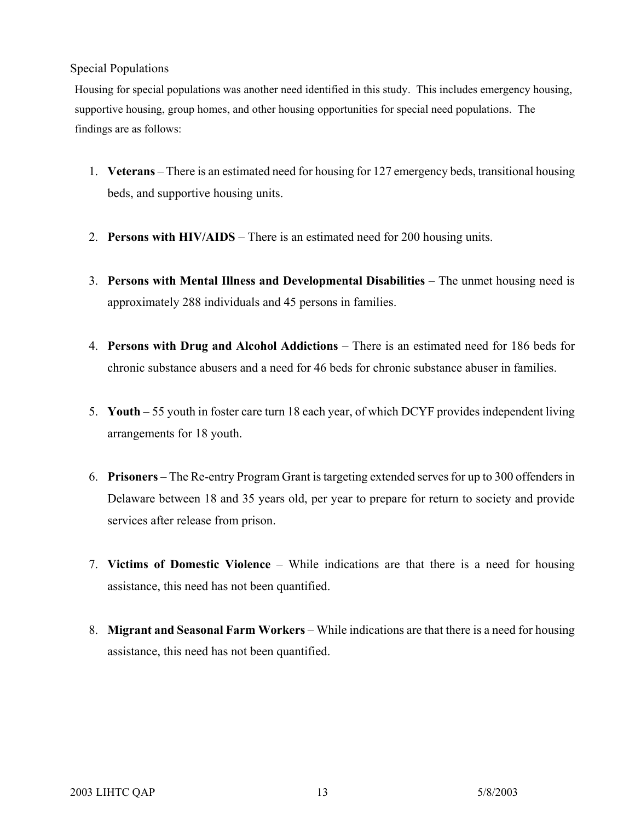### Special Populations

Housing for special populations was another need identified in this study. This includes emergency housing, supportive housing, group homes, and other housing opportunities for special need populations. The findings are as follows:

- 1. **Veterans** There is an estimated need for housing for 127 emergency beds, transitional housing beds, and supportive housing units.
- 2. **Persons with HIV/AIDS**  There is an estimated need for 200 housing units.
- 3. **Persons with Mental Illness and Developmental Disabilities**  The unmet housing need is approximately 288 individuals and 45 persons in families.
- 4. **Persons with Drug and Alcohol Addictions**  There is an estimated need for 186 beds for chronic substance abusers and a need for 46 beds for chronic substance abuser in families.
- 5. **Youth**  55 youth in foster care turn 18 each year, of which DCYF provides independent living arrangements for 18 youth.
- 6. **Prisoners**  The Re-entry Program Grant is targeting extended serves for up to 300 offenders in Delaware between 18 and 35 years old, per year to prepare for return to society and provide services after release from prison.
- 7. **Victims of Domestic Violence**  While indications are that there is a need for housing assistance, this need has not been quantified.
- 8. **Migrant and Seasonal Farm Workers** While indications are that there is a need for housing assistance, this need has not been quantified.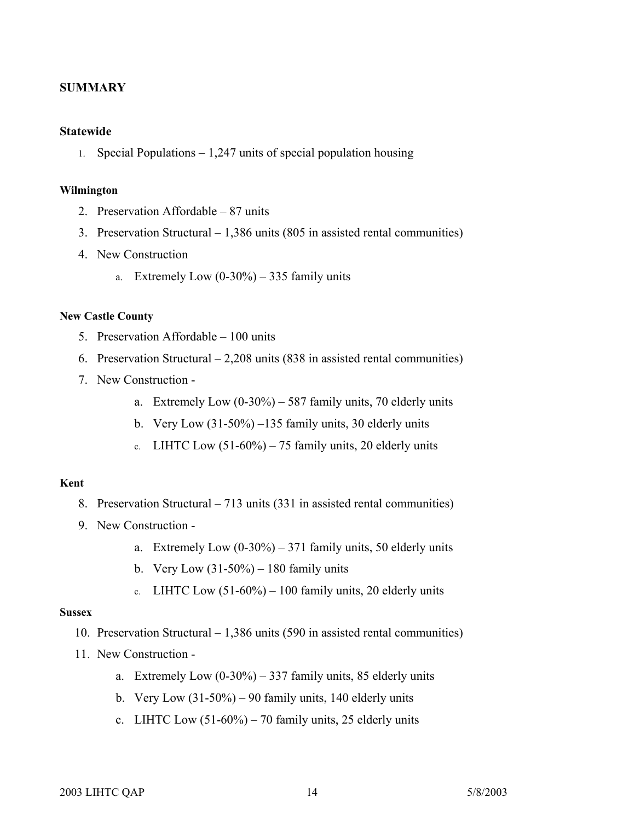#### **SUMMARY**

#### **Statewide**

1. Special Populations – 1,247 units of special population housing

#### **Wilmington**

- 2. Preservation Affordable 87 units
- 3. Preservation Structural 1,386 units (805 in assisted rental communities)
- 4. New Construction
	- a. Extremely Low  $(0-30\%) 335$  family units

#### **New Castle County**

- 5. Preservation Affordable 100 units
- 6. Preservation Structural 2,208 units (838 in assisted rental communities)
- 7. New Construction
	- a. Extremely Low  $(0-30\%) 587$  family units, 70 elderly units
	- b. Very Low  $(31-50\%)$  –135 family units, 30 elderly units
	- c. LIHTC Low  $(51-60\%)$  75 family units, 20 elderly units

#### **Kent**

- 8. Preservation Structural 713 units (331 in assisted rental communities)
- 9. New Construction
	- a. Extremely Low  $(0-30\%) 371$  family units, 50 elderly units
	- b. Very Low  $(31-50\%) 180$  family units
	- c. LIHTC Low  $(51-60\%) 100$  family units, 20 elderly units

#### **Sussex**

- 10. Preservation Structural 1,386 units (590 in assisted rental communities)
- 11. New Construction
	- a. Extremely Low  $(0-30\%) 337$  family units, 85 elderly units
	- b. Very Low  $(31-50\%) 90$  family units, 140 elderly units
	- c. LIHTC Low  $(51-60\%)$  70 family units, 25 elderly units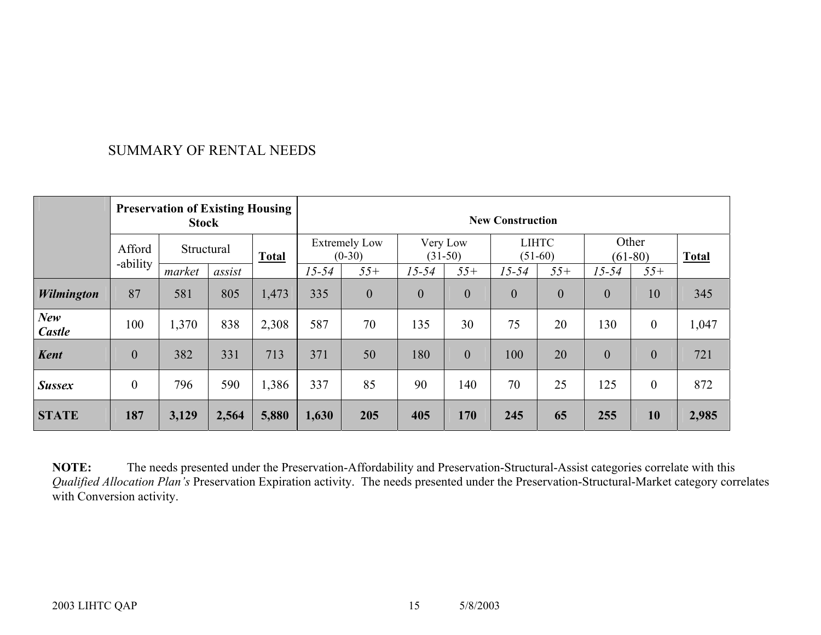## SUMMARY OF RENTAL NEEDS

| <b>Preservation of Existing Housing</b><br><b>Stock</b> |                  |            |        |              | <b>New Construction</b>          |                |                       |                  |                           |                  |                    |                  |              |
|---------------------------------------------------------|------------------|------------|--------|--------------|----------------------------------|----------------|-----------------------|------------------|---------------------------|------------------|--------------------|------------------|--------------|
|                                                         | Afford           | Structural |        | <b>Total</b> | <b>Extremely Low</b><br>$(0-30)$ |                | Very Low<br>$(31-50)$ |                  | <b>LIHTC</b><br>$(51-60)$ |                  | Other<br>$(61-80)$ |                  | <b>Total</b> |
|                                                         | -ability         | market     | assist |              | $15 - 54$                        | $55+$          | $15 - 54$             | $55+$            | $15 - 54$                 | $55+$            | $15 - 54$          | $55+$            |              |
| Wilmington                                              | 87               | 581        | 805    | 1,473        | 335                              | $\overline{0}$ | $\boldsymbol{0}$      | $\boldsymbol{0}$ | $\boldsymbol{0}$          | $\boldsymbol{0}$ | $\boldsymbol{0}$   | 10               | 345          |
| New<br>Castle                                           | 100              | 1,370      | 838    | 2,308        | 587                              | 70             | 135                   | 30               | 75                        | 20               | 130                | $\boldsymbol{0}$ | 1,047        |
| <b>Kent</b>                                             | $\boldsymbol{0}$ | 382        | 331    | 713          | 371                              | 50             | 180                   | $\mathbf{0}$     | 100                       | 20               | $\mathbf{0}$       | $\mathbf{0}$     | 721          |
| <b>Sussex</b>                                           | $\theta$         | 796        | 590    | 1,386        | 337                              | 85             | 90                    | 140              | 70                        | 25               | 125                | $\theta$         | 872          |
| <b>STATE</b>                                            | 187              | 3,129      | 2,564  | 5,880        | 1,630                            | 205            | 405                   | 170              | 245                       | 65               | 255                | 10               | 2,985        |

**NOTE:** The needs presented under the Preservation-Affordability and Preservation-Structural-Assist categories correlate with this *Qualified Allocation Plan's* Preservation Expiration activity. The needs presented under the Preservation-Structural-Market category correlates with Conversion activity.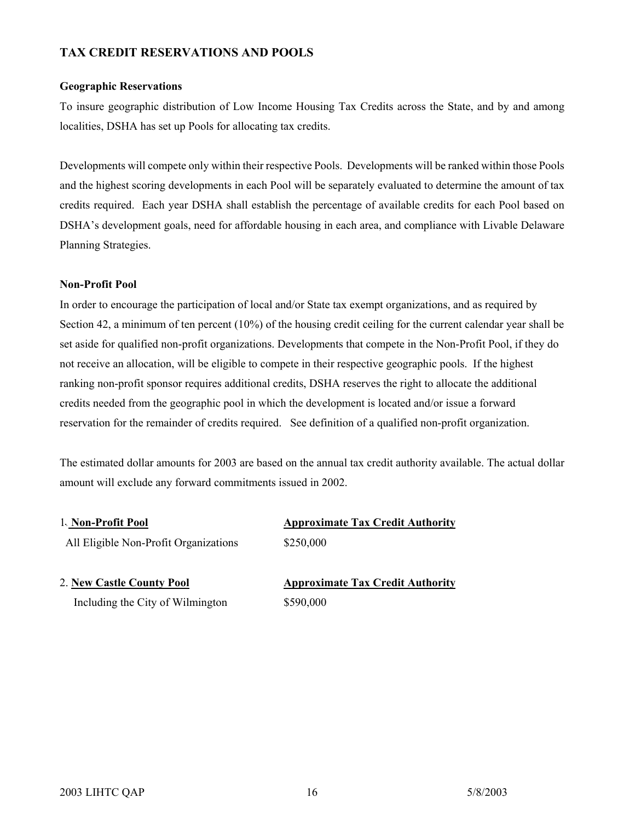### **TAX CREDIT RESERVATIONS AND POOLS**

#### **Geographic Reservations**

To insure geographic distribution of Low Income Housing Tax Credits across the State, and by and among localities, DSHA has set up Pools for allocating tax credits.

Developments will compete only within their respective Pools. Developments will be ranked within those Pools and the highest scoring developments in each Pool will be separately evaluated to determine the amount of tax credits required. Each year DSHA shall establish the percentage of available credits for each Pool based on DSHA's development goals, need for affordable housing in each area, and compliance with Livable Delaware Planning Strategies.

#### **Non-Profit Pool**

In order to encourage the participation of local and/or State tax exempt organizations, and as required by Section 42, a minimum of ten percent (10%) of the housing credit ceiling for the current calendar year shall be set aside for qualified non-profit organizations. Developments that compete in the Non-Profit Pool, if they do not receive an allocation, will be eligible to compete in their respective geographic pools. If the highest ranking non-profit sponsor requires additional credits, DSHA reserves the right to allocate the additional credits needed from the geographic pool in which the development is located and/or issue a forward reservation for the remainder of credits required. See definition of a qualified non-profit organization.

The estimated dollar amounts for 2003 are based on the annual tax credit authority available. The actual dollar amount will exclude any forward commitments issued in 2002.

| 1. Non-Profit Pool                    | <b>Approximate Tax Credit Authority</b> |
|---------------------------------------|-----------------------------------------|
| All Eligible Non-Profit Organizations | \$250,000                               |

| 2. New Castle County Pool        |  |
|----------------------------------|--|
| Including the City of Wilmington |  |

2. **New Castle County Pool Approximate Tax Credit Authority** \$590,000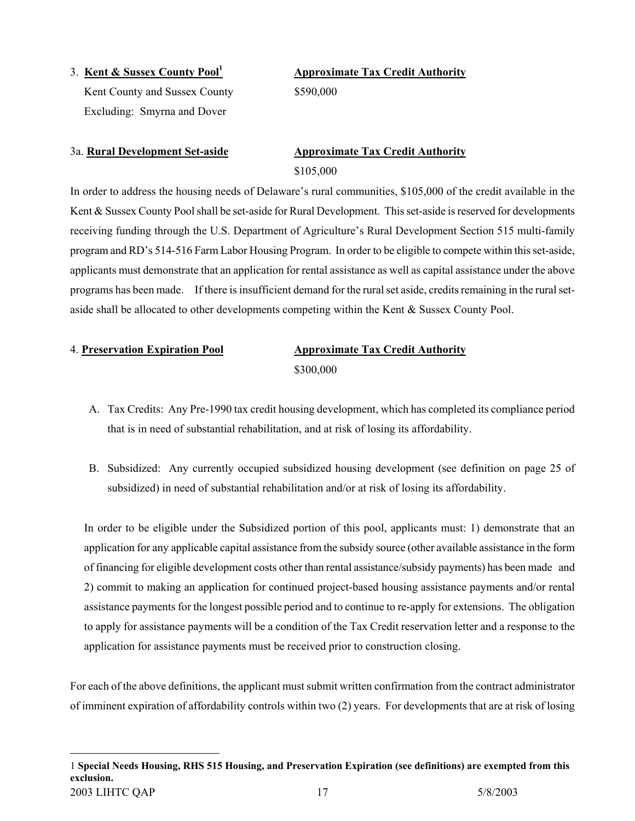3. **Kent & Sussex County Poo[l1](#page-16-0)** Kent County and Sussex County  $$590,000$ Excluding: Smyrna and Dover

**Approximate Tax Credit Authority**

## 3a. **Rural Development Set-aside Approximate Tax Credit Authority** \$105,000

In order to address the housing needs of Delaware's rural communities, \$105,000 of the credit available in the Kent & Sussex County Pool shall be set-aside for Rural Development. This set-aside is reserved for developments receiving funding through the U.S. Department of Agriculture's Rural Development Section 515 multi-family program and RD's 514-516 Farm Labor Housing Program. In order to be eligible to compete within this set-aside, applicants must demonstrate that an application for rental assistance as well as capital assistance under the above programs has been made. If there is insufficient demand for the rural set aside, credits remaining in the rural setaside shall be allocated to other developments competing within the Kent & Sussex County Pool.

<span id="page-16-0"></span> $\overline{a}$ 

## 4. **Preservation Expiration Pool Approximate Tax Credit Authority** \$300,000

- A. Tax Credits: Any Pre-1990 tax credit housing development, which has completed its compliance period that is in need of substantial rehabilitation, and at risk of losing its affordability.
- B. Subsidized: Any currently occupied subsidized housing development (see definition on page 25 of subsidized) in need of substantial rehabilitation and/or at risk of losing its affordability.

In order to be eligible under the Subsidized portion of this pool, applicants must: 1) demonstrate that an application for any applicable capital assistance from the subsidy source (other available assistance in the form of financing for eligible development costs other than rental assistance/subsidy payments) has been made and 2) commit to making an application for continued project-based housing assistance payments and/or rental assistance payments for the longest possible period and to continue to re-apply for extensions. The obligation to apply for assistance payments will be a condition of the Tax Credit reservation letter and a response to the application for assistance payments must be received prior to construction closing.

For each of the above definitions, the applicant must submit written confirmation from the contract administrator of imminent expiration of affordability controls within two (2) years. For developments that are at risk of losing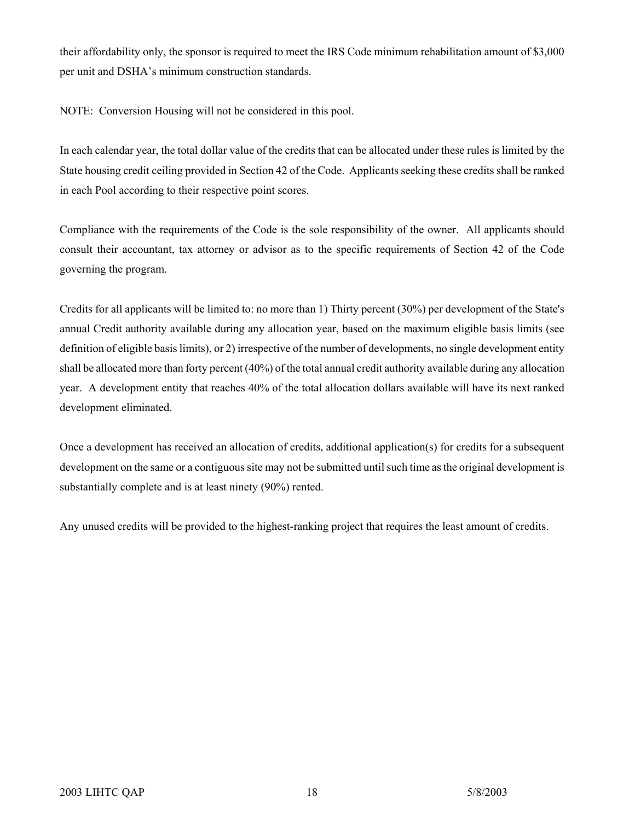their affordability only, the sponsor is required to meet the IRS Code minimum rehabilitation amount of \$3,000 per unit and DSHA's minimum construction standards.

NOTE: Conversion Housing will not be considered in this pool.

In each calendar year, the total dollar value of the credits that can be allocated under these rules is limited by the State housing credit ceiling provided in Section 42 of the Code. Applicants seeking these credits shall be ranked in each Pool according to their respective point scores.

Compliance with the requirements of the Code is the sole responsibility of the owner. All applicants should consult their accountant, tax attorney or advisor as to the specific requirements of Section 42 of the Code governing the program.

Credits for all applicants will be limited to: no more than 1) Thirty percent (30%) per development of the State's annual Credit authority available during any allocation year, based on the maximum eligible basis limits (see definition of eligible basis limits), or 2) irrespective of the number of developments, no single development entity shall be allocated more than forty percent (40%) of the total annual credit authority available during any allocation year. A development entity that reaches 40% of the total allocation dollars available will have its next ranked development eliminated.

Once a development has received an allocation of credits, additional application(s) for credits for a subsequent development on the same or a contiguous site may not be submitted until such time as the original development is substantially complete and is at least ninety (90%) rented.

Any unused credits will be provided to the highest-ranking project that requires the least amount of credits.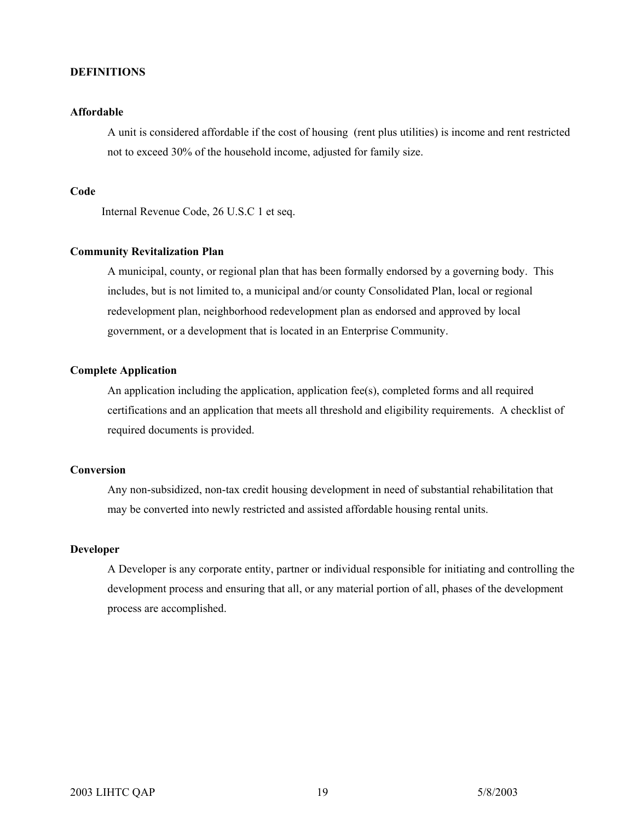#### **DEFINITIONS**

#### **Affordable**

A unit is considered affordable if the cost of housing (rent plus utilities) is income and rent restricted not to exceed 30% of the household income, adjusted for family size.

#### **Code**

Internal Revenue Code, 26 U.S.C 1 et seq.

#### **Community Revitalization Plan**

A municipal, county, or regional plan that has been formally endorsed by a governing body. This includes, but is not limited to, a municipal and/or county Consolidated Plan, local or regional redevelopment plan, neighborhood redevelopment plan as endorsed and approved by local government, or a development that is located in an Enterprise Community.

#### **Complete Application**

An application including the application, application fee(s), completed forms and all required certifications and an application that meets all threshold and eligibility requirements. A checklist of required documents is provided.

#### **Conversion**

Any non-subsidized, non-tax credit housing development in need of substantial rehabilitation that may be converted into newly restricted and assisted affordable housing rental units.

#### **Developer**

A Developer is any corporate entity, partner or individual responsible for initiating and controlling the development process and ensuring that all, or any material portion of all, phases of the development process are accomplished.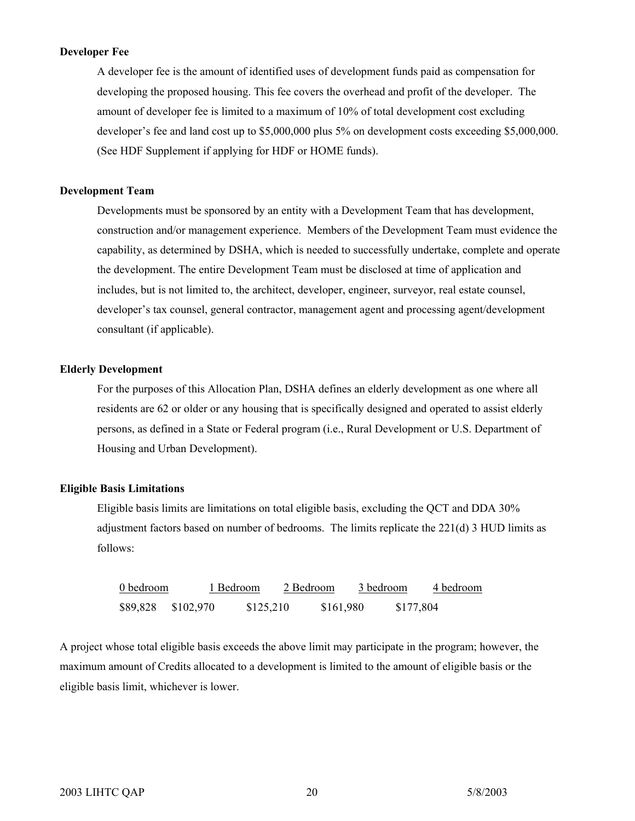#### **Developer Fee**

A developer fee is the amount of identified uses of development funds paid as compensation for developing the proposed housing. This fee covers the overhead and profit of the developer. The amount of developer fee is limited to a maximum of 10% of total development cost excluding developer's fee and land cost up to \$5,000,000 plus 5% on development costs exceeding \$5,000,000. (See HDF Supplement if applying for HDF or HOME funds).

#### **Development Team**

Developments must be sponsored by an entity with a Development Team that has development, construction and/or management experience. Members of the Development Team must evidence the capability, as determined by DSHA, which is needed to successfully undertake, complete and operate the development. The entire Development Team must be disclosed at time of application and includes, but is not limited to, the architect, developer, engineer, surveyor, real estate counsel, developer's tax counsel, general contractor, management agent and processing agent/development consultant (if applicable).

#### **Elderly Development**

For the purposes of this Allocation Plan, DSHA defines an elderly development as one where all residents are 62 or older or any housing that is specifically designed and operated to assist elderly persons, as defined in a State or Federal program (i.e., Rural Development or U.S. Department of Housing and Urban Development).

#### **Eligible Basis Limitations**

Eligible basis limits are limitations on total eligible basis, excluding the QCT and DDA 30% adjustment factors based on number of bedrooms. The limits replicate the 221(d) 3 HUD limits as follows:

| 0 bedroom |           | 1 Bedroom | 2 Bedroom | 3 bedroom |           | 4 bedroom |
|-----------|-----------|-----------|-----------|-----------|-----------|-----------|
| \$89,828  | \$102,970 | \$125,210 | \$161,980 |           | \$177,804 |           |

A project whose total eligible basis exceeds the above limit may participate in the program; however, the maximum amount of Credits allocated to a development is limited to the amount of eligible basis or the eligible basis limit, whichever is lower.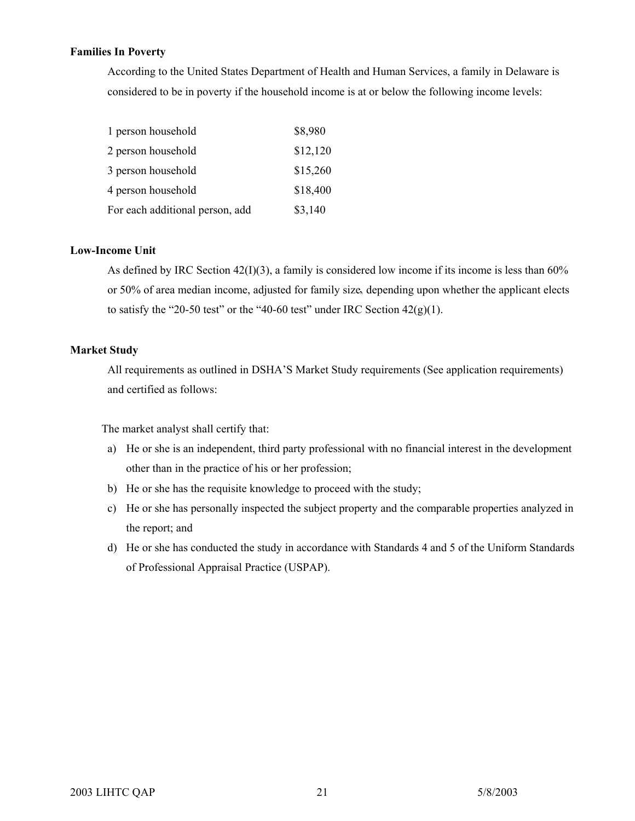#### **Families In Poverty**

According to the United States Department of Health and Human Services, a family in Delaware is considered to be in poverty if the household income is at or below the following income levels:

| 1 person household              | \$8,980  |
|---------------------------------|----------|
| 2 person household              | \$12,120 |
| 3 person household              | \$15,260 |
| 4 person household              | \$18,400 |
| For each additional person, add | \$3,140  |

#### **Low-Income Unit**

As defined by IRC Section 42(I)(3), a family is considered low income if its income is less than 60% or 50% of area median income, adjusted for family size, depending upon whether the applicant elects to satisfy the "20-50 test" or the "40-60 test" under IRC Section  $42(g)(1)$ .

#### **Market Study**

All requirements as outlined in DSHA'S Market Study requirements (See application requirements) and certified as follows:

The market analyst shall certify that:

- a) He or she is an independent, third party professional with no financial interest in the development other than in the practice of his or her profession;
- b) He or she has the requisite knowledge to proceed with the study;
- c) He or she has personally inspected the subject property and the comparable properties analyzed in the report; and
- d) He or she has conducted the study in accordance with Standards 4 and 5 of the Uniform Standards of Professional Appraisal Practice (USPAP).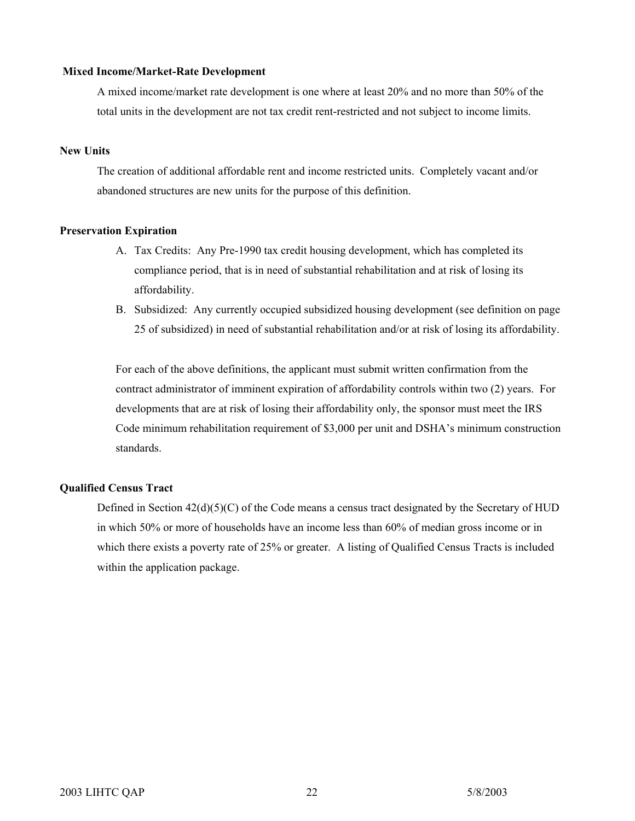#### **Mixed Income/Market-Rate Development**

A mixed income/market rate development is one where at least 20% and no more than 50% of the total units in the development are not tax credit rent-restricted and not subject to income limits.

#### **New Units**

The creation of additional affordable rent and income restricted units. Completely vacant and/or abandoned structures are new units for the purpose of this definition.

#### **Preservation Expiration**

- A. Tax Credits: Any Pre-1990 tax credit housing development, which has completed its compliance period, that is in need of substantial rehabilitation and at risk of losing its affordability.
- B. Subsidized: Any currently occupied subsidized housing development (see definition on page 25 of subsidized) in need of substantial rehabilitation and/or at risk of losing its affordability.

For each of the above definitions, the applicant must submit written confirmation from the contract administrator of imminent expiration of affordability controls within two (2) years. For developments that are at risk of losing their affordability only, the sponsor must meet the IRS Code minimum rehabilitation requirement of \$3,000 per unit and DSHA's minimum construction standards.

#### **Qualified Census Tract**

Defined in Section  $42(d)(5)(C)$  of the Code means a census tract designated by the Secretary of HUD in which 50% or more of households have an income less than 60% of median gross income or in which there exists a poverty rate of 25% or greater. A listing of Qualified Census Tracts is included within the application package.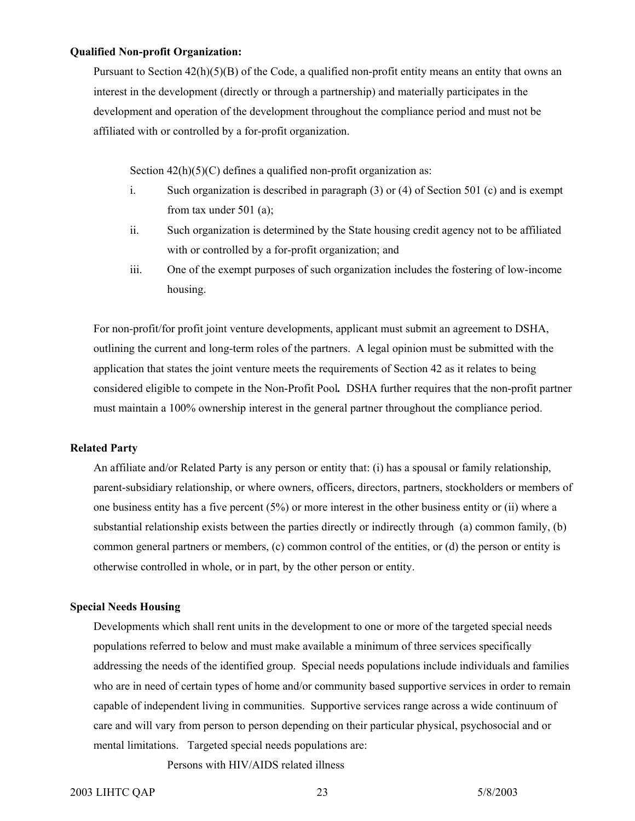#### **Qualified Non-profit Organization:**

Pursuant to Section  $42(h)(5)(B)$  of the Code, a qualified non-profit entity means an entity that owns an interest in the development (directly or through a partnership) and materially participates in the development and operation of the development throughout the compliance period and must not be affiliated with or controlled by a for-profit organization.

Section  $42(h)(5)(C)$  defines a qualified non-profit organization as:

- i. Such organization is described in paragraph (3) or (4) of Section 501 (c) and is exempt from tax under 501 (a);
- ii. Such organization is determined by the State housing credit agency not to be affiliated with or controlled by a for-profit organization; and
- iii. One of the exempt purposes of such organization includes the fostering of low-income housing.

For non-profit/for profit joint venture developments, applicant must submit an agreement to DSHA, outlining the current and long-term roles of the partners. A legal opinion must be submitted with the application that states the joint venture meets the requirements of Section 42 as it relates to being considered eligible to compete in the Non-Profit Pool*.* DSHA further requires that the non-profit partner must maintain a 100% ownership interest in the general partner throughout the compliance period.

#### **Related Party**

An affiliate and/or Related Party is any person or entity that: (i) has a spousal or family relationship, parent-subsidiary relationship, or where owners, officers, directors, partners, stockholders or members of one business entity has a five percent (5%) or more interest in the other business entity or (ii) where a substantial relationship exists between the parties directly or indirectly through (a) common family, (b) common general partners or members, (c) common control of the entities, or (d) the person or entity is otherwise controlled in whole, or in part, by the other person or entity.

#### **Special Needs Housing**

Developments which shall rent units in the development to one or more of the targeted special needs populations referred to below and must make available a minimum of three services specifically addressing the needs of the identified group. Special needs populations include individuals and families who are in need of certain types of home and/or community based supportive services in order to remain capable of independent living in communities. Supportive services range across a wide continuum of care and will vary from person to person depending on their particular physical, psychosocial and or mental limitations. Targeted special needs populations are:

Persons with HIV/AIDS related illness

#### 2003 LIHTC QAP 23 5/8/2003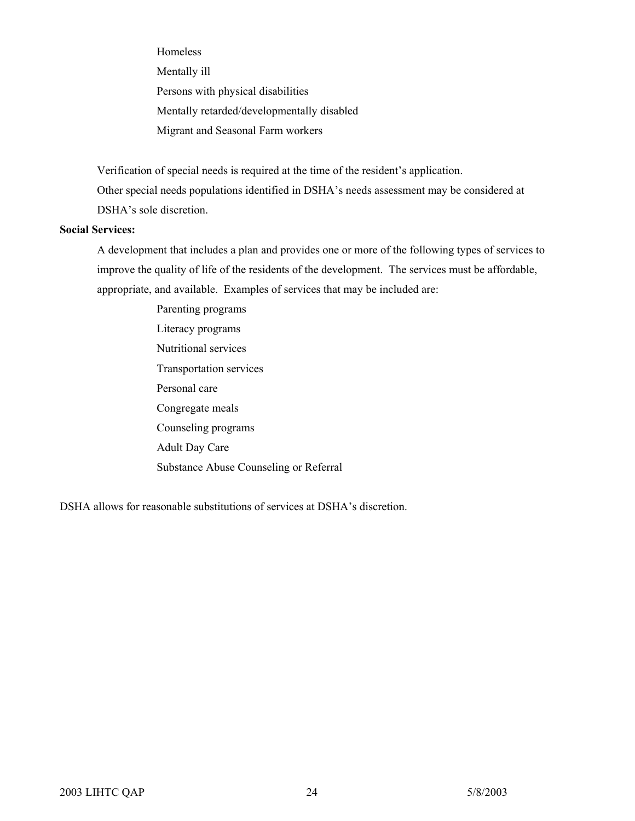Homeless

Mentally ill

Persons with physical disabilities

Mentally retarded/developmentally disabled

Migrant and Seasonal Farm workers

Verification of special needs is required at the time of the resident's application.

Other special needs populations identified in DSHA's needs assessment may be considered at DSHA's sole discretion.

#### **Social Services:**

A development that includes a plan and provides one or more of the following types of services to improve the quality of life of the residents of the development. The services must be affordable, appropriate, and available. Examples of services that may be included are:

> Parenting programs Literacy programs Nutritional services Transportation services Personal care Congregate meals Counseling programs Adult Day Care Substance Abuse Counseling or Referral

DSHA allows for reasonable substitutions of services at DSHA's discretion.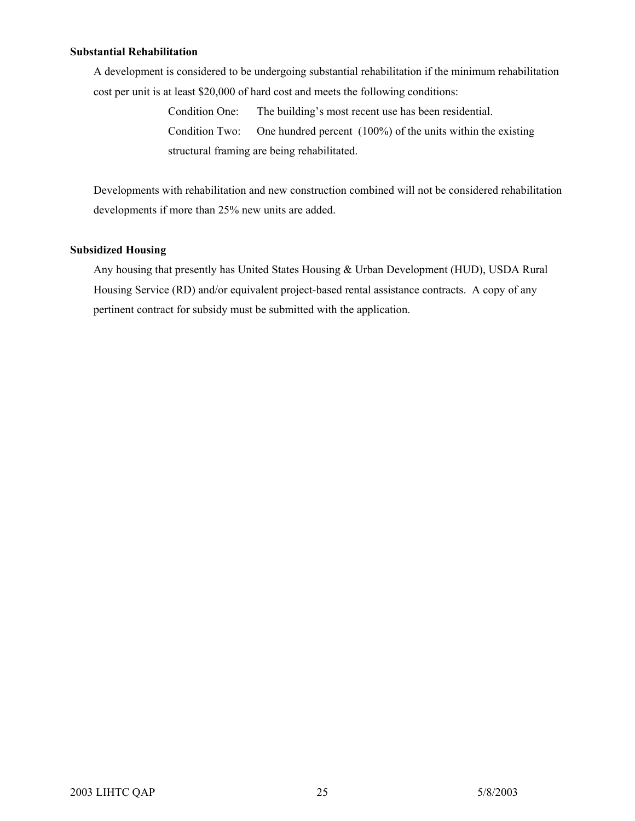#### **Substantial Rehabilitation**

A development is considered to be undergoing substantial rehabilitation if the minimum rehabilitation cost per unit is at least \$20,000 of hard cost and meets the following conditions:

> Condition One: The building's most recent use has been residential. Condition Two: One hundred percent (100%) of the units within the existing structural framing are being rehabilitated.

Developments with rehabilitation and new construction combined will not be considered rehabilitation developments if more than 25% new units are added.

#### **Subsidized Housing**

Any housing that presently has United States Housing & Urban Development (HUD), USDA Rural Housing Service (RD) and/or equivalent project-based rental assistance contracts. A copy of any pertinent contract for subsidy must be submitted with the application.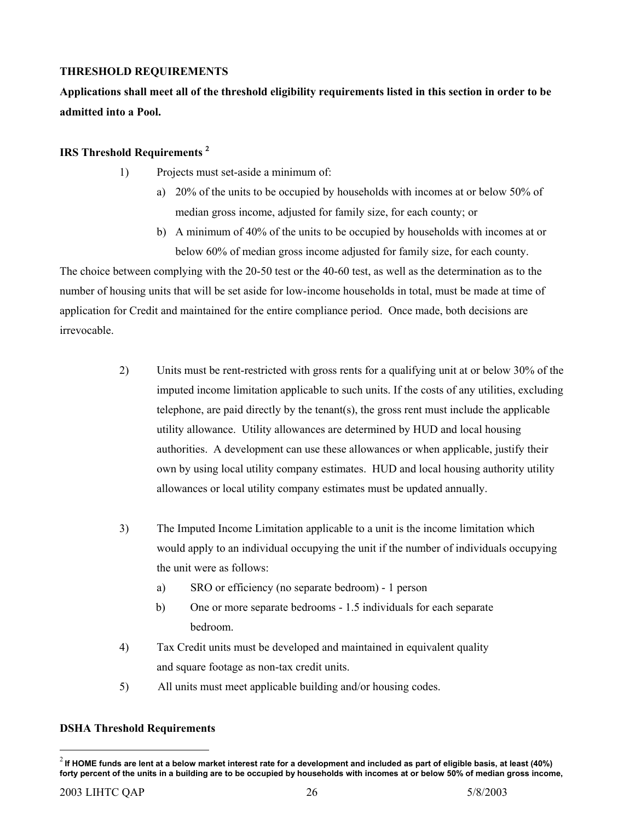### <span id="page-25-0"></span>**THRESHOLD REQUIREMENTS**

**Applications shall meet all of the threshold eligibility requirements listed in this section in order to be admitted into a Pool.** 

#### **IRS Threshold Requirements** [2](#page-25-0)

- 1) Projects must set-aside a minimum of:
	- a) 20% of the units to be occupied by households with incomes at or below 50% of median gross income, adjusted for family size, for each county; or
	- b) A minimum of 40% of the units to be occupied by households with incomes at or below 60% of median gross income adjusted for family size, for each county.

The choice between complying with the 20-50 test or the 40-60 test, as well as the determination as to the number of housing units that will be set aside for low-income households in total, must be made at time of application for Credit and maintained for the entire compliance period. Once made, both decisions are irrevocable.

- 2) Units must be rent-restricted with gross rents for a qualifying unit at or below 30% of the imputed income limitation applicable to such units. If the costs of any utilities, excluding telephone, are paid directly by the tenant(s), the gross rent must include the applicable utility allowance. Utility allowances are determined by HUD and local housing authorities. A development can use these allowances or when applicable, justify their own by using local utility company estimates. HUD and local housing authority utility allowances or local utility company estimates must be updated annually.
- 3) The Imputed Income Limitation applicable to a unit is the income limitation which would apply to an individual occupying the unit if the number of individuals occupying the unit were as follows:
	- a) SRO or efficiency (no separate bedroom) 1 person
	- b) One or more separate bedrooms 1.5 individuals for each separate bedroom.
- 4) Tax Credit units must be developed and maintained in equivalent quality and square footage as non-tax credit units.
- 5) All units must meet applicable building and/or housing codes.

#### **DSHA Threshold Requirements**

 $\overline{a}$ 

<sup>2</sup> **If HOME funds are lent at a below market interest rate for a development and included as part of eligible basis, at least (40%) forty percent of the units in a building are to be occupied by households with incomes at or below 50% of median gross income,**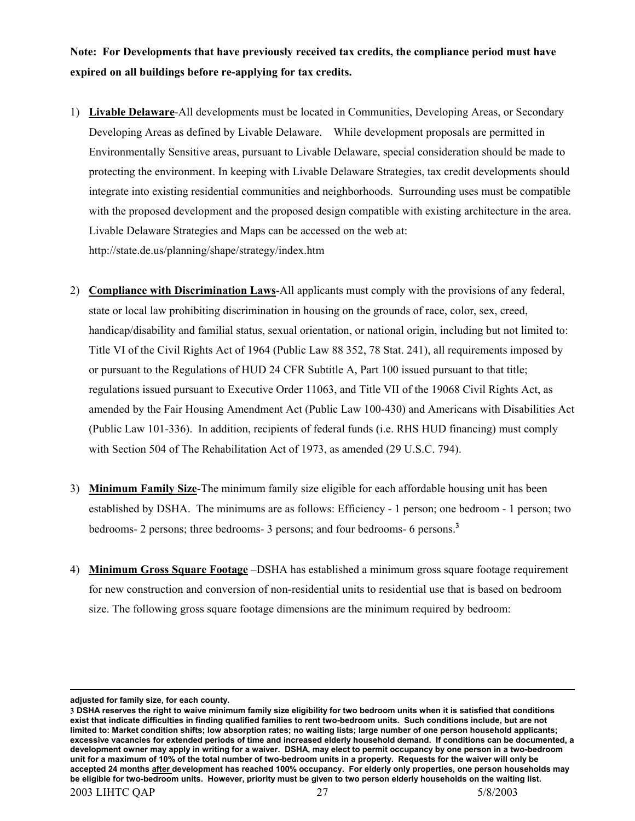**Note: For Developments that have previously received tax credits, the compliance period must have expired on all buildings before re-applying for tax credits.** 

- 1) **Livable Delaware**-All developments must be located in Communities, Developing Areas, or Secondary Developing Areas as defined by Livable Delaware. While development proposals are permitted in Environmentally Sensitive areas, pursuant to Livable Delaware, special consideration should be made to protecting the environment. In keeping with Livable Delaware Strategies, tax credit developments should integrate into existing residential communities and neighborhoods. Surrounding uses must be compatible with the proposed development and the proposed design compatible with existing architecture in the area. Livable Delaware Strategies and Maps can be accessed on the web at: http://state.de.us/planning/shape/strategy/index.htm
- 2) **Compliance with Discrimination Laws**-All applicants must comply with the provisions of any federal, state or local law prohibiting discrimination in housing on the grounds of race, color, sex, creed, handicap/disability and familial status, sexual orientation, or national origin, including but not limited to: Title VI of the Civil Rights Act of 1964 (Public Law 88 352, 78 Stat. 241), all requirements imposed by or pursuant to the Regulations of HUD 24 CFR Subtitle A, Part 100 issued pursuant to that title; regulations issued pursuant to Executive Order 11063, and Title VII of the 19068 Civil Rights Act, as amended by the Fair Housing Amendment Act (Public Law 100-430) and Americans with Disabilities Act (Public Law 101-336). In addition, recipients of federal funds (i.e. RHS HUD financing) must comply with Section 504 of The Rehabilitation Act of 1973, as amended (29 U.S.C. 794).
- 3) **Minimum Family Size**-The minimum family size eligible for each affordable housing unit has been established by DSHA. The minimums are as follows: Efficiency - 1 person; one bedroom - 1 person; two bedrooms- 2 persons; three bedrooms- 3 persons; and four bedrooms- 6 persons.[3](#page-26-0)
- 4) **Minimum Gross Square Footage** –DSHA has established a minimum gross square footage requirement for new construction and conversion of non-residential units to residential use that is based on bedroom size. The following gross square footage dimensions are the minimum required by bedroom:

 $\overline{a}$ 

**adjusted for family size, for each county.**

<span id="page-26-0"></span><sup>2003</sup> LIHTC QAP 27 5/8/2003 3 **DSHA reserves the right to waive minimum family size eligibility for two bedroom units when it is satisfied that conditions exist that indicate difficulties in finding qualified families to rent two-bedroom units. Such conditions include, but are not limited to: Market condition shifts; low absorption rates; no waiting lists; large number of one person household applicants; excessive vacancies for extended periods of time and increased elderly household demand. If conditions can be documented, a development owner may apply in writing for a waiver. DSHA, may elect to permit occupancy by one person in a two-bedroom unit for a maximum of 10% of the total number of two-bedroom units in a property. Requests for the waiver will only be accepted 24 months after development has reached 100% occupancy. For elderly only properties, one person households may be eligible for two-bedroom units. However, priority must be given to two person elderly households on the waiting list.**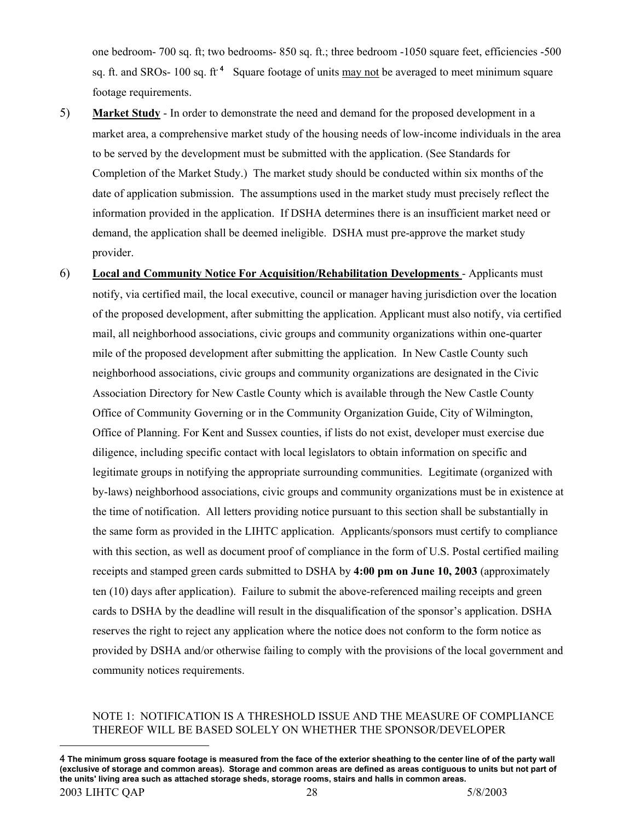one bedroom- 700 sq. ft; two bedrooms- 850 sq. ft.; three bedroom -1050 square feet, efficiencies -500 sq. ft. and SROs- 100 sq. ft<sup>.[4](#page-27-0)</sup> Square footage of units may not be averaged to meet minimum square footage requirements.

- 5) **Market Study** In order to demonstrate the need and demand for the proposed development in a market area, a comprehensive market study of the housing needs of low-income individuals in the area to be served by the development must be submitted with the application. (See Standards for Completion of the Market Study.) The market study should be conducted within six months of the date of application submission. The assumptions used in the market study must precisely reflect the information provided in the application. If DSHA determines there is an insufficient market need or demand, the application shall be deemed ineligible. DSHA must pre-approve the market study provider.
- 6) **Local and Community Notice For Acquisition/Rehabilitation Developments** Applicants must notify, via certified mail, the local executive, council or manager having jurisdiction over the location of the proposed development, after submitting the application. Applicant must also notify, via certified mail, all neighborhood associations, civic groups and community organizations within one-quarter mile of the proposed development after submitting the application. In New Castle County such neighborhood associations, civic groups and community organizations are designated in the Civic Association Directory for New Castle County which is available through the New Castle County Office of Community Governing or in the Community Organization Guide, City of Wilmington, Office of Planning. For Kent and Sussex counties, if lists do not exist, developer must exercise due diligence, including specific contact with local legislators to obtain information on specific and legitimate groups in notifying the appropriate surrounding communities. Legitimate (organized with by-laws) neighborhood associations, civic groups and community organizations must be in existence at the time of notification. All letters providing notice pursuant to this section shall be substantially in the same form as provided in the LIHTC application. Applicants/sponsors must certify to compliance with this section, as well as document proof of compliance in the form of U.S. Postal certified mailing receipts and stamped green cards submitted to DSHA by **4:00 pm on June 10, 2003** (approximately ten (10) days after application). Failure to submit the above-referenced mailing receipts and green cards to DSHA by the deadline will result in the disqualification of the sponsor's application. DSHA reserves the right to reject any application where the notice does not conform to the form notice as provided by DSHA and/or otherwise failing to comply with the provisions of the local government and community notices requirements.

#### NOTE 1: NOTIFICATION IS A THRESHOLD ISSUE AND THE MEASURE OF COMPLIANCE THEREOF WILL BE BASED SOLELY ON WHETHER THE SPONSOR/DEVELOPER

 $\overline{a}$ 

<span id="page-27-0"></span><sup>2003</sup> LIHTC QAP 28 2003 2003 2004 2012 2013 2014 2014 2014 2015 2016 2017 2020 2031 2016 2020 2020 2020 2020 20 4 **The minimum gross square footage is measured from the face of the exterior sheathing to the center line of of the party wall (exclusive of storage and common areas). Storage and common areas are defined as areas contiguous to units but not part of the units' living area such as attached storage sheds, storage rooms, stairs and halls in common areas.**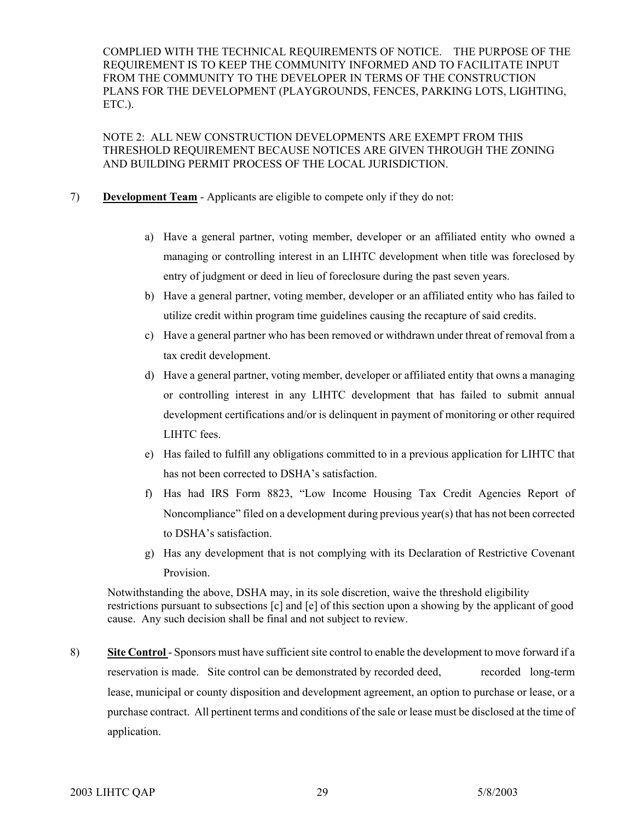COMPLIED WITH THE TECHNICAL REQUIREMENTS OF NOTICE. THE PURPOSE OF THE REQUIREMENT IS TO KEEP THE COMMUNITY INFORMED AND TO FACILITATE INPUT FROM THE COMMUNITY TO THE DEVELOPER IN TERMS OF THE CONSTRUCTION PLANS FOR THE DEVELOPMENT (PLAYGROUNDS, FENCES, PARKING LOTS, LIGHTING, ETC.).

NOTE 2: ALL NEW CONSTRUCTION DEVELOPMENTS ARE EXEMPT FROM THIS THRESHOLD REQUIREMENT BECAUSE NOTICES ARE GIVEN THROUGH THE ZONING AND BUILDING PERMIT PROCESS OF THE LOCAL JURISDICTION.

- 7) **Development Team** Applicants are eligible to compete only if they do not:
	- a) Have a general partner, voting member, developer or an affiliated entity who owned a managing or controlling interest in an LIHTC development when title was foreclosed by entry of judgment or deed in lieu of foreclosure during the past seven years.
	- b) Have a general partner, voting member, developer or an affiliated entity who has failed to utilize credit within program time guidelines causing the recapture of said credits.
	- c) Have a general partner who has been removed or withdrawn under threat of removal from a tax credit development.
	- d) Have a general partner, voting member, developer or affiliated entity that owns a managing or controlling interest in any LIHTC development that has failed to submit annual development certifications and/or is delinquent in payment of monitoring or other required LIHTC fees.
	- e) Has failed to fulfill any obligations committed to in a previous application for LIHTC that has not been corrected to DSHA's satisfaction.
	- f) Has had IRS Form 8823, "Low Income Housing Tax Credit Agencies Report of Noncompliance" filed on a development during previous year(s) that has not been corrected to DSHA's satisfaction.
	- g) Has any development that is not complying with its Declaration of Restrictive Covenant Provision.

Notwithstanding the above, DSHA may, in its sole discretion, waive the threshold eligibility restrictions pursuant to subsections [c] and [e] of this section upon a showing by the applicant of good cause. Any such decision shall be final and not subject to review.

8) **Site Control** - Sponsors must have sufficient site control to enable the development to move forward if a reservation is made. Site control can be demonstrated by recorded deed, recorded long-term lease, municipal or county disposition and development agreement, an option to purchase or lease, or a purchase contract. All pertinent terms and conditions of the sale or lease must be disclosed at the time of application.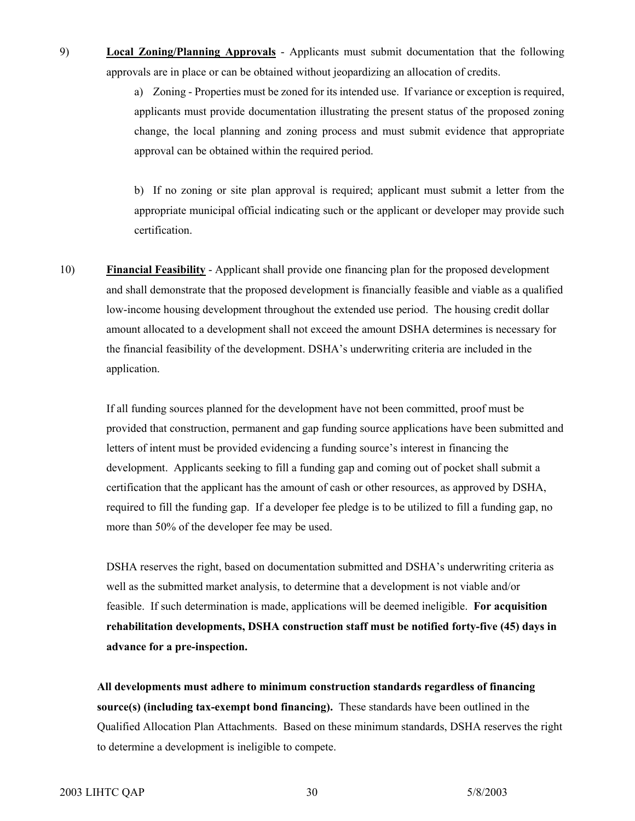9) **Local Zoning/Planning Approvals** - Applicants must submit documentation that the following approvals are in place or can be obtained without jeopardizing an allocation of credits.

> a) Zoning - Properties must be zoned for its intended use. If variance or exception is required, applicants must provide documentation illustrating the present status of the proposed zoning change, the local planning and zoning process and must submit evidence that appropriate approval can be obtained within the required period.

> b) If no zoning or site plan approval is required; applicant must submit a letter from the appropriate municipal official indicating such or the applicant or developer may provide such certification.

10) **Financial Feasibility** - Applicant shall provide one financing plan for the proposed development and shall demonstrate that the proposed development is financially feasible and viable as a qualified low-income housing development throughout the extended use period. The housing credit dollar amount allocated to a development shall not exceed the amount DSHA determines is necessary for the financial feasibility of the development. DSHA's underwriting criteria are included in the application.

If all funding sources planned for the development have not been committed, proof must be provided that construction, permanent and gap funding source applications have been submitted and letters of intent must be provided evidencing a funding source's interest in financing the development. Applicants seeking to fill a funding gap and coming out of pocket shall submit a certification that the applicant has the amount of cash or other resources, as approved by DSHA, required to fill the funding gap. If a developer fee pledge is to be utilized to fill a funding gap, no more than 50% of the developer fee may be used.

DSHA reserves the right, based on documentation submitted and DSHA's underwriting criteria as well as the submitted market analysis, to determine that a development is not viable and/or feasible. If such determination is made, applications will be deemed ineligible. **For acquisition rehabilitation developments, DSHA construction staff must be notified forty-five (45) days in advance for a pre-inspection.** 

**All developments must adhere to minimum construction standards regardless of financing source(s) (including tax-exempt bond financing).** These standards have been outlined in the Qualified Allocation Plan Attachments. Based on these minimum standards, DSHA reserves the right to determine a development is ineligible to compete.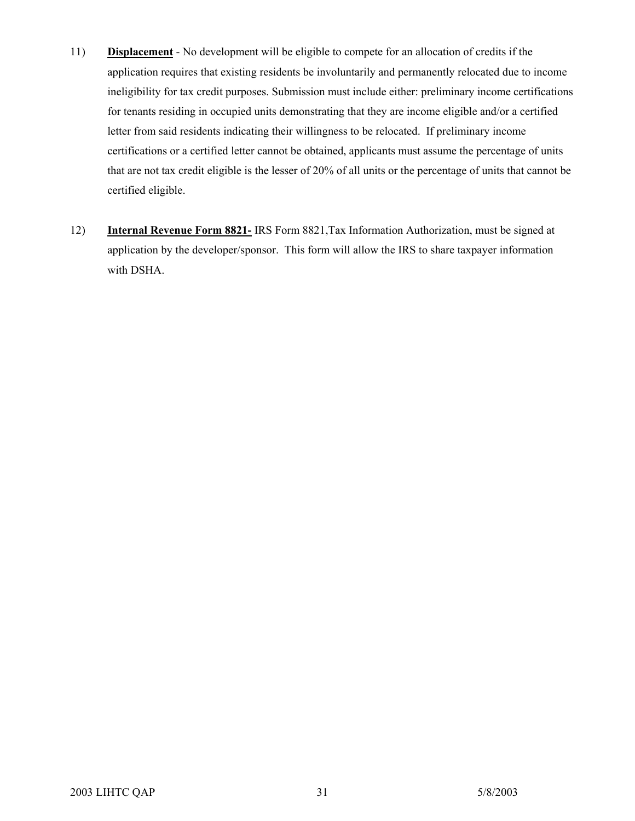- 11) **Displacement** No development will be eligible to compete for an allocation of credits if the application requires that existing residents be involuntarily and permanently relocated due to income ineligibility for tax credit purposes. Submission must include either: preliminary income certifications for tenants residing in occupied units demonstrating that they are income eligible and/or a certified letter from said residents indicating their willingness to be relocated. If preliminary income certifications or a certified letter cannot be obtained, applicants must assume the percentage of units that are not tax credit eligible is the lesser of 20% of all units or the percentage of units that cannot be certified eligible.
- 12) **Internal Revenue Form 8821-** IRS Form 8821,Tax Information Authorization, must be signed at application by the developer/sponsor. This form will allow the IRS to share taxpayer information with DSHA.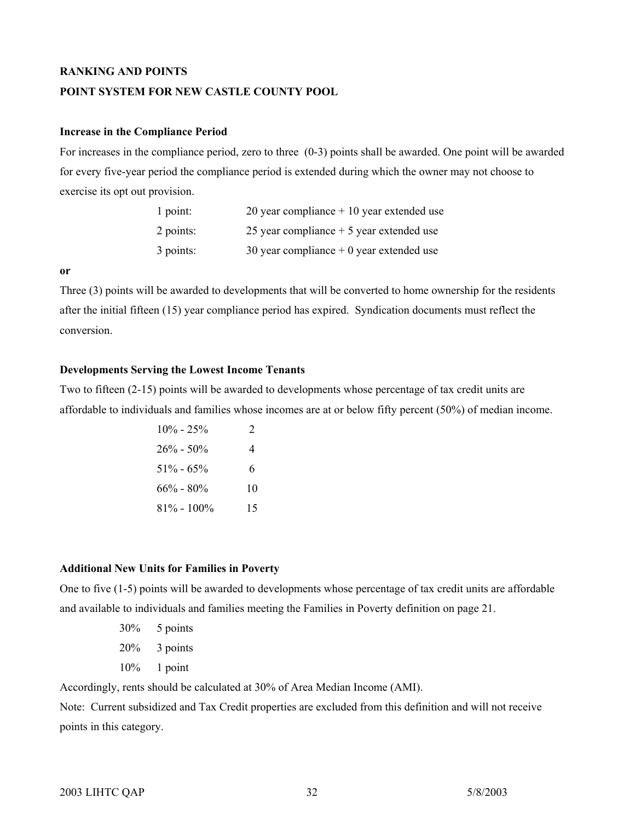#### **RANKING AND POINTS**

#### **POINT SYSTEM FOR NEW CASTLE COUNTY POOL**

#### **Increase in the Compliance Period**

For increases in the compliance period, zero to three (0-3) points shall be awarded. One point will be awarded for every five-year period the compliance period is extended during which the owner may not choose to exercise its opt out provision.

| 1 point:  | 20 year compliance $+10$ year extended use |
|-----------|--------------------------------------------|
| 2 points: | 25 year compliance $+5$ year extended use  |
| 3 points: | 30 year compliance $+0$ year extended use  |

#### **or**

Three (3) points will be awarded to developments that will be converted to home ownership for the residents after the initial fifteen (15) year compliance period has expired. Syndication documents must reflect the conversion.

#### **Developments Serving the Lowest Income Tenants**

Two to fifteen (2-15) points will be awarded to developments whose percentage of tax credit units are affordable to individuals and families whose incomes are at or below fifty percent (50%) of median income.

| $10\% - 25\%$  | $\mathcal{D}_{\mathcal{L}}$ |
|----------------|-----------------------------|
| $26\% - 50\%$  |                             |
| $51\% - 65\%$  | 6.                          |
| $66\% - 80\%$  | 10                          |
| $81\% - 100\%$ | 15                          |

#### **Additional New Units for Families in Poverty**

One to five (1-5) points will be awarded to developments whose percentage of tax credit units are affordable and available to individuals and families meeting the Families in Poverty definition on page 21.

- 30% 5 points
- 20% 3 points
- 10% 1 point

Accordingly, rents should be calculated at 30% of Area Median Income (AMI).

Note: Current subsidized and Tax Credit properties are excluded from this definition and will not receive points in this category.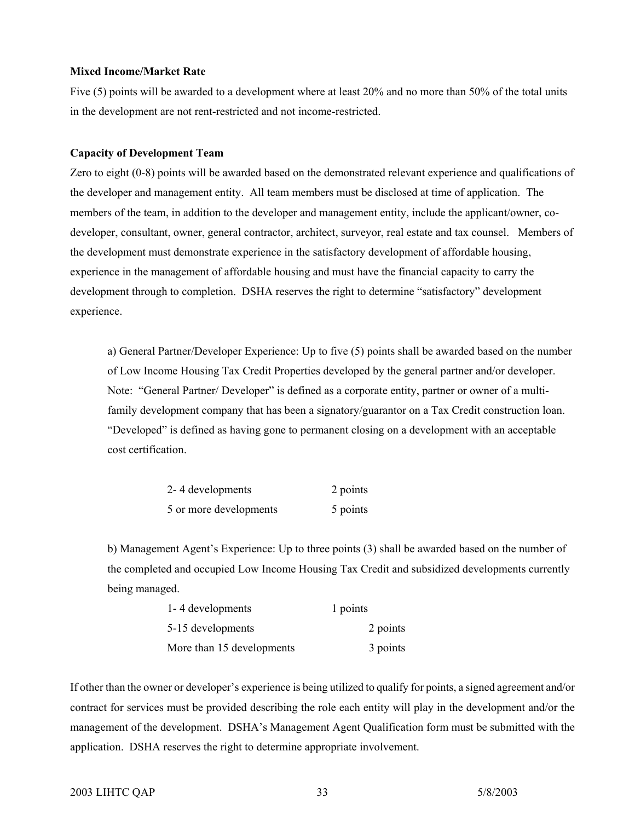#### **Mixed Income/Market Rate**

Five (5) points will be awarded to a development where at least 20% and no more than 50% of the total units in the development are not rent-restricted and not income-restricted.

#### **Capacity of Development Team**

Zero to eight (0-8) points will be awarded based on the demonstrated relevant experience and qualifications of the developer and management entity. All team members must be disclosed at time of application. The members of the team, in addition to the developer and management entity, include the applicant/owner, codeveloper, consultant, owner, general contractor, architect, surveyor, real estate and tax counsel. Members of the development must demonstrate experience in the satisfactory development of affordable housing, experience in the management of affordable housing and must have the financial capacity to carry the development through to completion. DSHA reserves the right to determine "satisfactory" development experience.

a) General Partner/Developer Experience: Up to five (5) points shall be awarded based on the number of Low Income Housing Tax Credit Properties developed by the general partner and/or developer. Note: "General Partner/ Developer" is defined as a corporate entity, partner or owner of a multifamily development company that has been a signatory/guarantor on a Tax Credit construction loan. "Developed" is defined as having gone to permanent closing on a development with an acceptable cost certification.

| 2-4 developments       | 2 points |
|------------------------|----------|
| 5 or more developments | 5 points |

b) Management Agent's Experience: Up to three points (3) shall be awarded based on the number of the completed and occupied Low Income Housing Tax Credit and subsidized developments currently being managed.

| 1-4 developments          | 1 points |
|---------------------------|----------|
| 5-15 developments         | 2 points |
| More than 15 developments | 3 points |

If other than the owner or developer's experience is being utilized to qualify for points, a signed agreement and/or contract for services must be provided describing the role each entity will play in the development and/or the management of the development. DSHA's Management Agent Qualification form must be submitted with the application. DSHA reserves the right to determine appropriate involvement.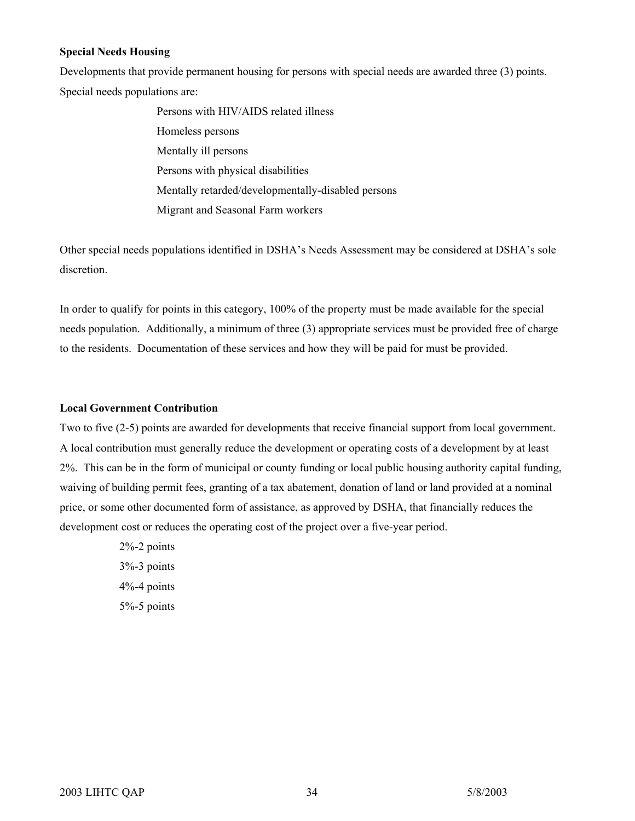#### **Special Needs Housing**

Developments that provide permanent housing for persons with special needs are awarded three (3) points. Special needs populations are:

> Persons with HIV/AIDS related illness Homeless persons Mentally ill persons Persons with physical disabilities Mentally retarded/developmentally-disabled persons Migrant and Seasonal Farm workers

Other special needs populations identified in DSHA's Needs Assessment may be considered at DSHA's sole discretion.

In order to qualify for points in this category, 100% of the property must be made available for the special needs population. Additionally, a minimum of three (3) appropriate services must be provided free of charge to the residents. Documentation of these services and how they will be paid for must be provided.

#### **Local Government Contribution**

Two to five (2-5) points are awarded for developments that receive financial support from local government. A local contribution must generally reduce the development or operating costs of a development by at least 2%. This can be in the form of municipal or county funding or local public housing authority capital funding, waiving of building permit fees, granting of a tax abatement, donation of land or land provided at a nominal price, or some other documented form of assistance, as approved by DSHA, that financially reduces the development cost or reduces the operating cost of the project over a five-year period.

> 2%-2 points 3%-3 points 4%-4 points 5%-5 points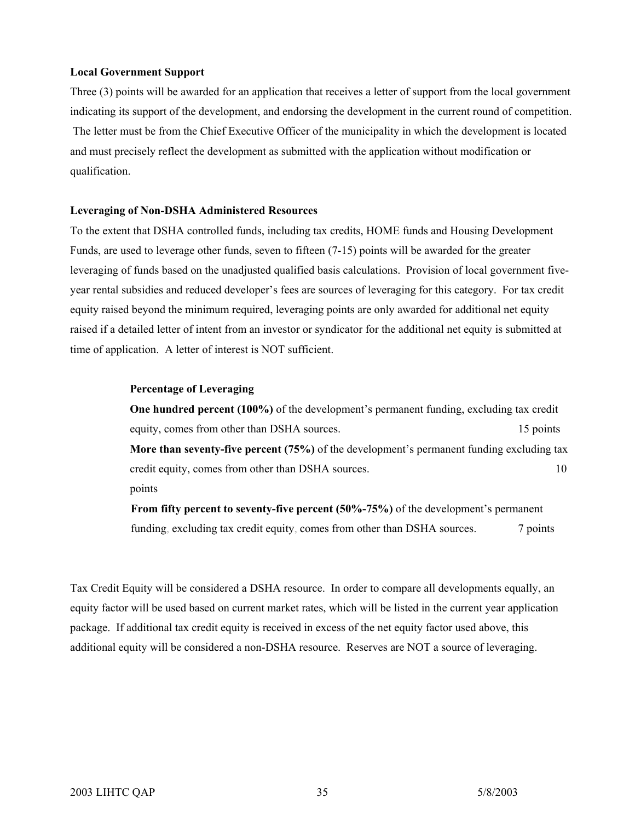#### **Local Government Support**

Three (3) points will be awarded for an application that receives a letter of support from the local government indicating its support of the development, and endorsing the development in the current round of competition. The letter must be from the Chief Executive Officer of the municipality in which the development is located and must precisely reflect the development as submitted with the application without modification or qualification.

#### **Leveraging of Non-DSHA Administered Resources**

To the extent that DSHA controlled funds, including tax credits, HOME funds and Housing Development Funds, are used to leverage other funds, seven to fifteen (7-15) points will be awarded for the greater leveraging of funds based on the unadjusted qualified basis calculations. Provision of local government fiveyear rental subsidies and reduced developer's fees are sources of leveraging for this category. For tax credit equity raised beyond the minimum required, leveraging points are only awarded for additional net equity raised if a detailed letter of intent from an investor or syndicator for the additional net equity is submitted at time of application. A letter of interest is NOT sufficient.

#### **Percentage of Leveraging**

**One hundred percent (100%)** of the development's permanent funding, excluding tax credit equity, comes from other than DSHA sources. 15 points 15 points **More than seventy-five percent (75%)** of the development's permanent funding excluding tax credit equity, comes from other than DSHA sources. 10 points

**From fifty percent to seventy-five percent (50%-75%)** of the development's permanent funding, excluding tax credit equity, comes from other than DSHA sources.  $\frac{7}{7}$  points

Tax Credit Equity will be considered a DSHA resource. In order to compare all developments equally, an equity factor will be used based on current market rates, which will be listed in the current year application package. If additional tax credit equity is received in excess of the net equity factor used above, this additional equity will be considered a non-DSHA resource. Reserves are NOT a source of leveraging.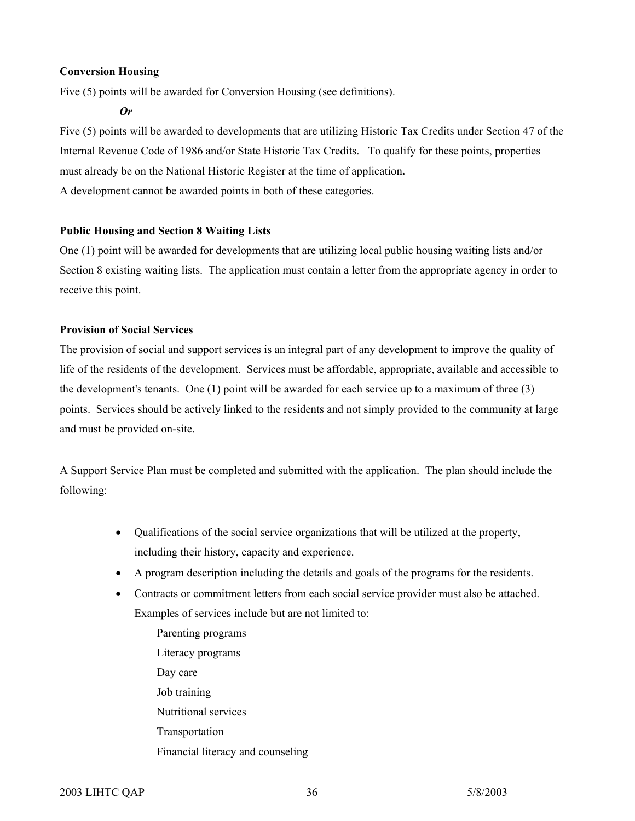#### **Conversion Housing**

Five (5) points will be awarded for Conversion Housing (see definitions).

*Or* 

Five (5) points will be awarded to developments that are utilizing Historic Tax Credits under Section 47 of the Internal Revenue Code of 1986 and/or State Historic Tax Credits. To qualify for these points, properties must already be on the National Historic Register at the time of application**.**  A development cannot be awarded points in both of these categories.

#### **Public Housing and Section 8 Waiting Lists**

One (1) point will be awarded for developments that are utilizing local public housing waiting lists and/or Section 8 existing waiting lists. The application must contain a letter from the appropriate agency in order to receive this point.

#### **Provision of Social Services**

The provision of social and support services is an integral part of any development to improve the quality of life of the residents of the development. Services must be affordable, appropriate, available and accessible to the development's tenants. One (1) point will be awarded for each service up to a maximum of three (3) points. Services should be actively linked to the residents and not simply provided to the community at large and must be provided on-site.

A Support Service Plan must be completed and submitted with the application. The plan should include the following:

- Qualifications of the social service organizations that will be utilized at the property, including their history, capacity and experience.
- A program description including the details and goals of the programs for the residents.
- Contracts or commitment letters from each social service provider must also be attached. Examples of services include but are not limited to:
	- Parenting programs Literacy programs Day care Job training Nutritional services Transportation Financial literacy and counseling

2003 LIHTC QAP 36 36 5/8/2003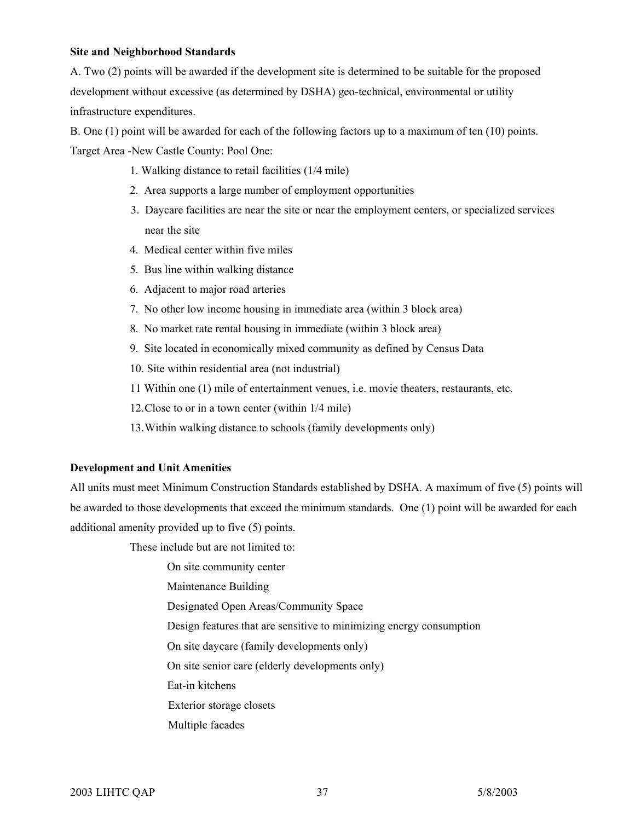#### **Site and Neighborhood Standards**

A. Two (2) points will be awarded if the development site is determined to be suitable for the proposed development without excessive (as determined by DSHA) geo-technical, environmental or utility infrastructure expenditures.

B. One (1) point will be awarded for each of the following factors up to a maximum of ten (10) points. Target Area -New Castle County: Pool One:

- 1. Walking distance to retail facilities (1/4 mile)
- 2. Area supports a large number of employment opportunities
- 3. Daycare facilities are near the site or near the employment centers, or specialized services near the site
- 4. Medical center within five miles
- 5. Bus line within walking distance
- 6. Adjacent to major road arteries
- 7. No other low income housing in immediate area (within 3 block area)
- 8. No market rate rental housing in immediate (within 3 block area)
- 9. Site located in economically mixed community as defined by Census Data
- 10. Site within residential area (not industrial)
- 11 Within one (1) mile of entertainment venues, i.e. movie theaters, restaurants, etc.
- 12. Close to or in a town center (within 1/4 mile)
- 13. Within walking distance to schools (family developments only)

#### **Development and Unit Amenities**

All units must meet Minimum Construction Standards established by DSHA. A maximum of five (5) points will be awarded to those developments that exceed the minimum standards. One (1) point will be awarded for each additional amenity provided up to five (5) points.

These include but are not limited to:

- On site community center
- Maintenance Building
- Designated Open Areas/Community Space
- Design features that are sensitive to minimizing energy consumption
- On site daycare (family developments only)
- On site senior care (elderly developments only)
- Eat-in kitchens
- Exterior storage closets
- Multiple facades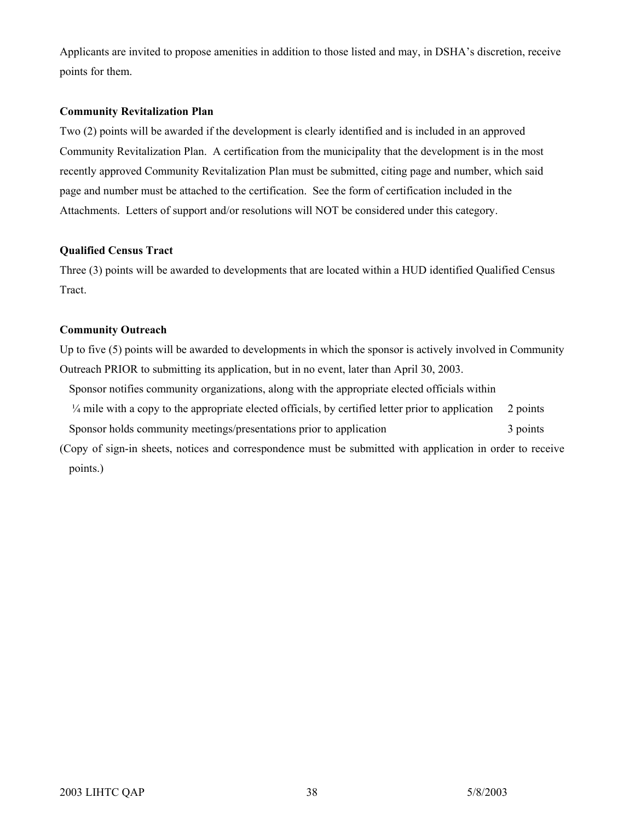Applicants are invited to propose amenities in addition to those listed and may, in DSHA's discretion, receive points for them.

#### **Community Revitalization Plan**

Two (2) points will be awarded if the development is clearly identified and is included in an approved Community Revitalization Plan. A certification from the municipality that the development is in the most recently approved Community Revitalization Plan must be submitted, citing page and number, which said page and number must be attached to the certification. See the form of certification included in the Attachments. Letters of support and/or resolutions will NOT be considered under this category.

#### **Qualified Census Tract**

Three (3) points will be awarded to developments that are located within a HUD identified Qualified Census Tract.

#### **Community Outreach**

Up to five (5) points will be awarded to developments in which the sponsor is actively involved in Community Outreach PRIOR to submitting its application, but in no event, later than April 30, 2003.

- Sponsor notifies community organizations, along with the appropriate elected officials within ¼ mile with a copy to the appropriate elected officials, by certified letter prior to application 2 points Sponsor holds community meetings/presentations prior to application 3 points
- (Copy of sign-in sheets, notices and correspondence must be submitted with application in order to receive points.)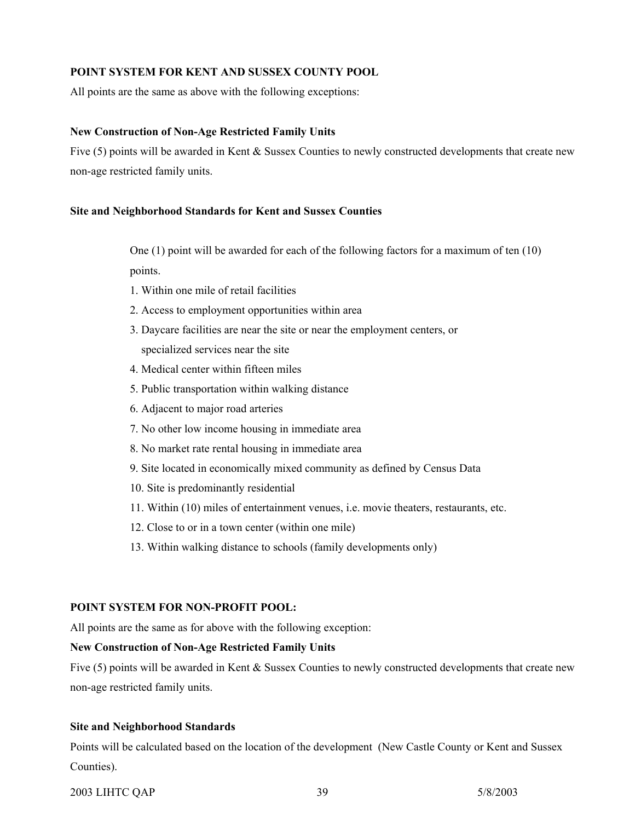#### **POINT SYSTEM FOR KENT AND SUSSEX COUNTY POOL**

All points are the same as above with the following exceptions:

#### **New Construction of Non-Age Restricted Family Units**

Five (5) points will be awarded in Kent & Sussex Counties to newly constructed developments that create new non-age restricted family units.

#### **Site and Neighborhood Standards for Kent and Sussex Counties**

One (1) point will be awarded for each of the following factors for a maximum of ten (10) points.

- 1. Within one mile of retail facilities
- 2. Access to employment opportunities within area
- 3. Daycare facilities are near the site or near the employment centers, or specialized services near the site
- 4. Medical center within fifteen miles
- 5. Public transportation within walking distance
- 6. Adjacent to major road arteries
- 7. No other low income housing in immediate area
- 8. No market rate rental housing in immediate area
- 9. Site located in economically mixed community as defined by Census Data
- 10. Site is predominantly residential
- 11. Within (10) miles of entertainment venues, i.e. movie theaters, restaurants, etc.
- 12. Close to or in a town center (within one mile)
- 13. Within walking distance to schools (family developments only)

#### **POINT SYSTEM FOR NON-PROFIT POOL:**

All points are the same as for above with the following exception:

#### **New Construction of Non-Age Restricted Family Units**

Five (5) points will be awarded in Kent & Sussex Counties to newly constructed developments that create new non-age restricted family units.

#### **Site and Neighborhood Standards**

Points will be calculated based on the location of the development (New Castle County or Kent and Sussex Counties).

#### 2003 LIHTC QAP 39 5/8/2003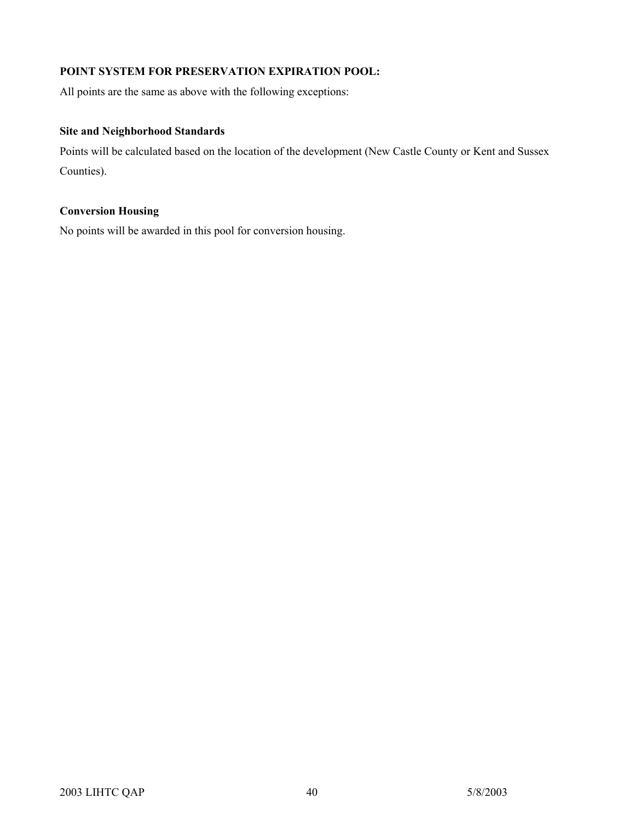### **POINT SYSTEM FOR PRESERVATION EXPIRATION POOL:**

All points are the same as above with the following exceptions:

#### **Site and Neighborhood Standards**

Points will be calculated based on the location of the development (New Castle County or Kent and Sussex Counties).

### **Conversion Housing**

No points will be awarded in this pool for conversion housing.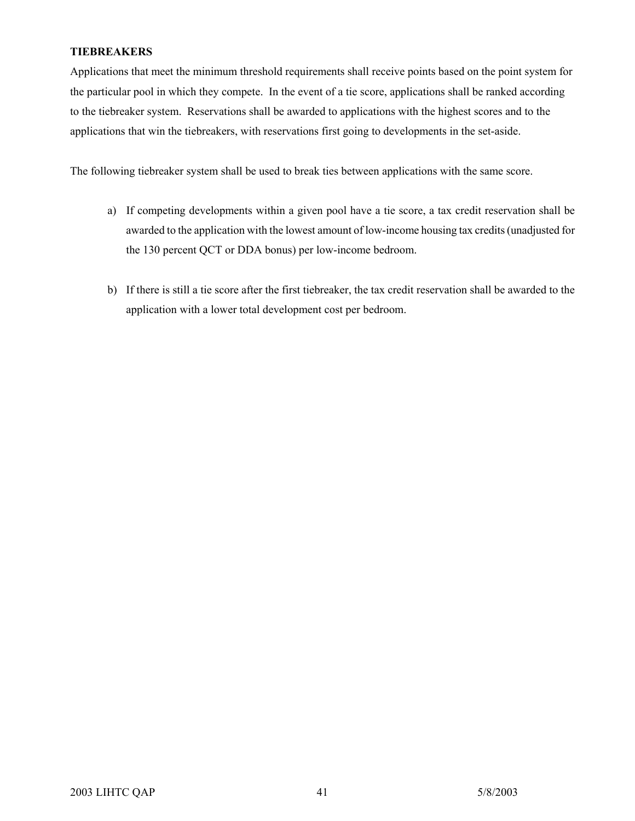#### **TIEBREAKERS**

Applications that meet the minimum threshold requirements shall receive points based on the point system for the particular pool in which they compete. In the event of a tie score, applications shall be ranked according to the tiebreaker system. Reservations shall be awarded to applications with the highest scores and to the applications that win the tiebreakers, with reservations first going to developments in the set-aside.

The following tiebreaker system shall be used to break ties between applications with the same score.

- a) If competing developments within a given pool have a tie score, a tax credit reservation shall be awarded to the application with the lowest amount of low-income housing tax credits (unadjusted for the 130 percent QCT or DDA bonus) per low-income bedroom.
- b) If there is still a tie score after the first tiebreaker, the tax credit reservation shall be awarded to the application with a lower total development cost per bedroom.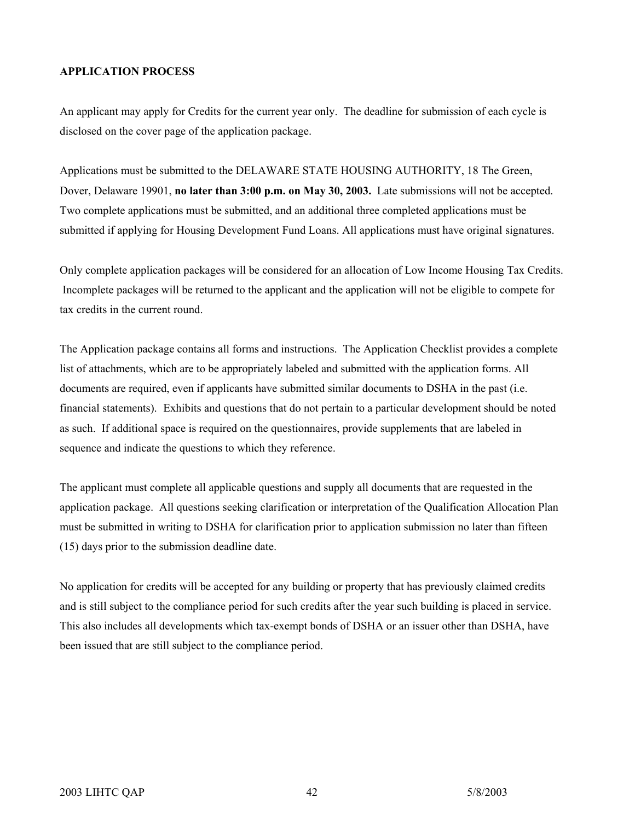#### **APPLICATION PROCESS**

An applicant may apply for Credits for the current year only. The deadline for submission of each cycle is disclosed on the cover page of the application package.

Applications must be submitted to the DELAWARE STATE HOUSING AUTHORITY, 18 The Green, Dover, Delaware 19901, **no later than 3:00 p.m. on May 30, 2003.** Late submissions will not be accepted. Two complete applications must be submitted, and an additional three completed applications must be submitted if applying for Housing Development Fund Loans. All applications must have original signatures.

Only complete application packages will be considered for an allocation of Low Income Housing Tax Credits. Incomplete packages will be returned to the applicant and the application will not be eligible to compete for tax credits in the current round.

The Application package contains all forms and instructions. The Application Checklist provides a complete list of attachments, which are to be appropriately labeled and submitted with the application forms. All documents are required, even if applicants have submitted similar documents to DSHA in the past (i.e. financial statements). Exhibits and questions that do not pertain to a particular development should be noted as such. If additional space is required on the questionnaires, provide supplements that are labeled in sequence and indicate the questions to which they reference.

The applicant must complete all applicable questions and supply all documents that are requested in the application package. All questions seeking clarification or interpretation of the Qualification Allocation Plan must be submitted in writing to DSHA for clarification prior to application submission no later than fifteen (15) days prior to the submission deadline date.

No application for credits will be accepted for any building or property that has previously claimed credits and is still subject to the compliance period for such credits after the year such building is placed in service. This also includes all developments which tax-exempt bonds of DSHA or an issuer other than DSHA, have been issued that are still subject to the compliance period.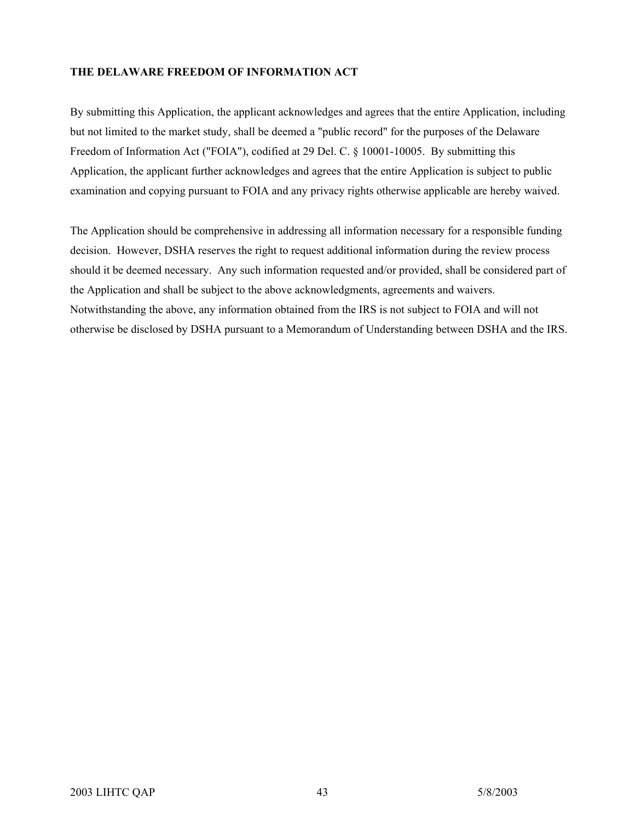#### **THE DELAWARE FREEDOM OF INFORMATION ACT**

By submitting this Application, the applicant acknowledges and agrees that the entire Application, including but not limited to the market study, shall be deemed a "public record" for the purposes of the Delaware Freedom of Information Act ("FOIA"), codified at 29 Del. C. § 10001-10005. By submitting this Application, the applicant further acknowledges and agrees that the entire Application is subject to public examination and copying pursuant to FOIA and any privacy rights otherwise applicable are hereby waived.

The Application should be comprehensive in addressing all information necessary for a responsible funding decision. However, DSHA reserves the right to request additional information during the review process should it be deemed necessary. Any such information requested and/or provided, shall be considered part of the Application and shall be subject to the above acknowledgments, agreements and waivers. Notwithstanding the above, any information obtained from the IRS is not subject to FOIA and will not otherwise be disclosed by DSHA pursuant to a Memorandum of Understanding between DSHA and the IRS.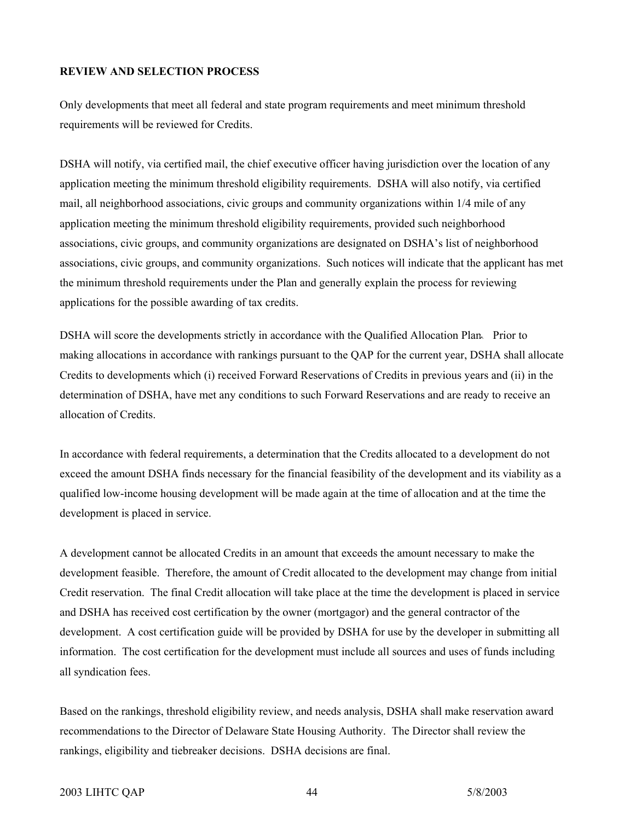#### **REVIEW AND SELECTION PROCESS**

Only developments that meet all federal and state program requirements and meet minimum threshold requirements will be reviewed for Credits.

DSHA will notify, via certified mail, the chief executive officer having jurisdiction over the location of any application meeting the minimum threshold eligibility requirements. DSHA will also notify, via certified mail, all neighborhood associations, civic groups and community organizations within 1/4 mile of any application meeting the minimum threshold eligibility requirements, provided such neighborhood associations, civic groups, and community organizations are designated on DSHA's list of neighborhood associations, civic groups, and community organizations. Such notices will indicate that the applicant has met the minimum threshold requirements under the Plan and generally explain the process for reviewing applications for the possible awarding of tax credits.

DSHA will score the developments strictly in accordance with the Qualified Allocation Plan. Prior to making allocations in accordance with rankings pursuant to the QAP for the current year, DSHA shall allocate Credits to developments which (i) received Forward Reservations of Credits in previous years and (ii) in the determination of DSHA, have met any conditions to such Forward Reservations and are ready to receive an allocation of Credits.

In accordance with federal requirements, a determination that the Credits allocated to a development do not exceed the amount DSHA finds necessary for the financial feasibility of the development and its viability as a qualified low-income housing development will be made again at the time of allocation and at the time the development is placed in service.

A development cannot be allocated Credits in an amount that exceeds the amount necessary to make the development feasible. Therefore, the amount of Credit allocated to the development may change from initial Credit reservation. The final Credit allocation will take place at the time the development is placed in service and DSHA has received cost certification by the owner (mortgagor) and the general contractor of the development. A cost certification guide will be provided by DSHA for use by the developer in submitting all information. The cost certification for the development must include all sources and uses of funds including all syndication fees.

Based on the rankings, threshold eligibility review, and needs analysis, DSHA shall make reservation award recommendations to the Director of Delaware State Housing Authority. The Director shall review the rankings, eligibility and tiebreaker decisions. DSHA decisions are final.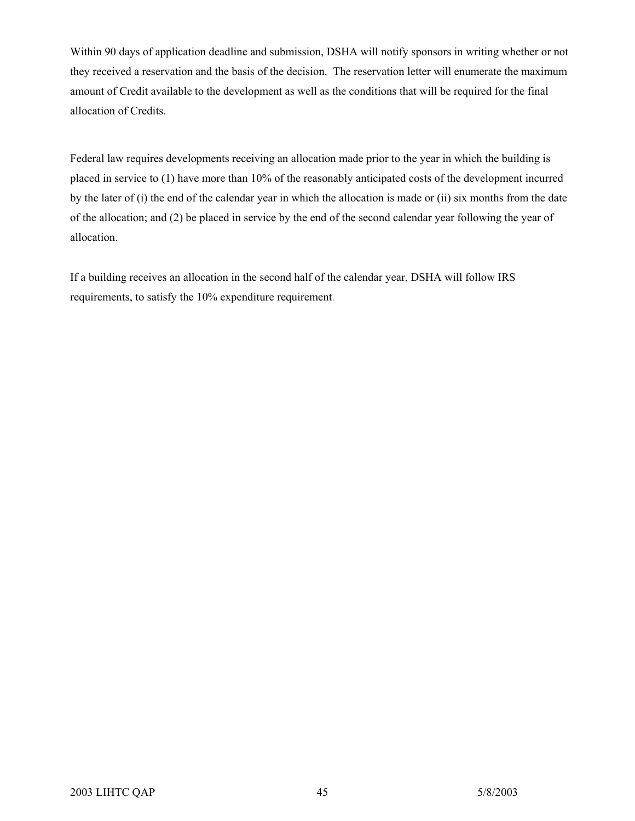Within 90 days of application deadline and submission, DSHA will notify sponsors in writing whether or not they received a reservation and the basis of the decision. The reservation letter will enumerate the maximum amount of Credit available to the development as well as the conditions that will be required for the final allocation of Credits.

Federal law requires developments receiving an allocation made prior to the year in which the building is placed in service to (1) have more than 10% of the reasonably anticipated costs of the development incurred by the later of (i) the end of the calendar year in which the allocation is made or (ii) six months from the date of the allocation; and (2) be placed in service by the end of the second calendar year following the year of allocation.

If a building receives an allocation in the second half of the calendar year, DSHA will follow IRS requirements, to satisfy the 10% expenditure requirement.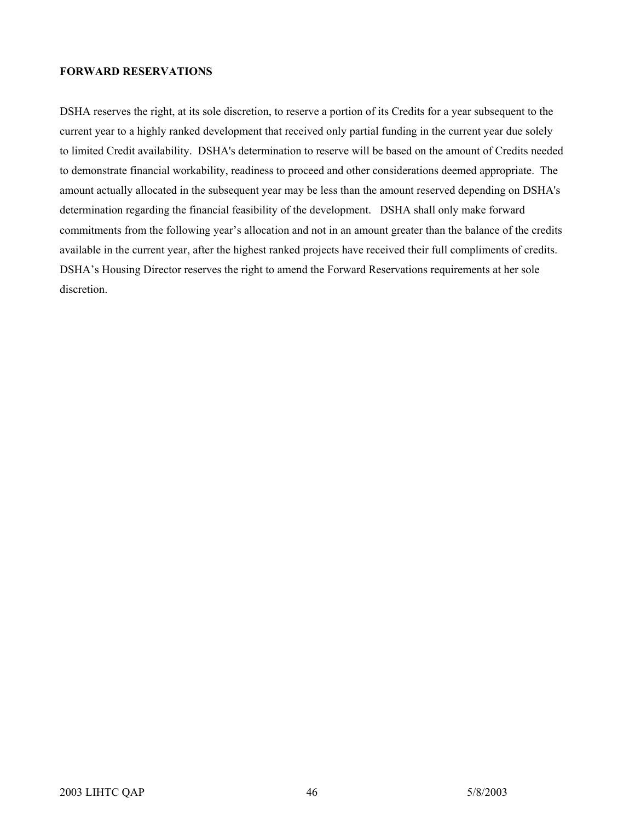#### **FORWARD RESERVATIONS**

DSHA reserves the right, at its sole discretion, to reserve a portion of its Credits for a year subsequent to the current year to a highly ranked development that received only partial funding in the current year due solely to limited Credit availability. DSHA's determination to reserve will be based on the amount of Credits needed to demonstrate financial workability, readiness to proceed and other considerations deemed appropriate. The amount actually allocated in the subsequent year may be less than the amount reserved depending on DSHA's determination regarding the financial feasibility of the development. DSHA shall only make forward commitments from the following year's allocation and not in an amount greater than the balance of the credits available in the current year, after the highest ranked projects have received their full compliments of credits. DSHA's Housing Director reserves the right to amend the Forward Reservations requirements at her sole discretion.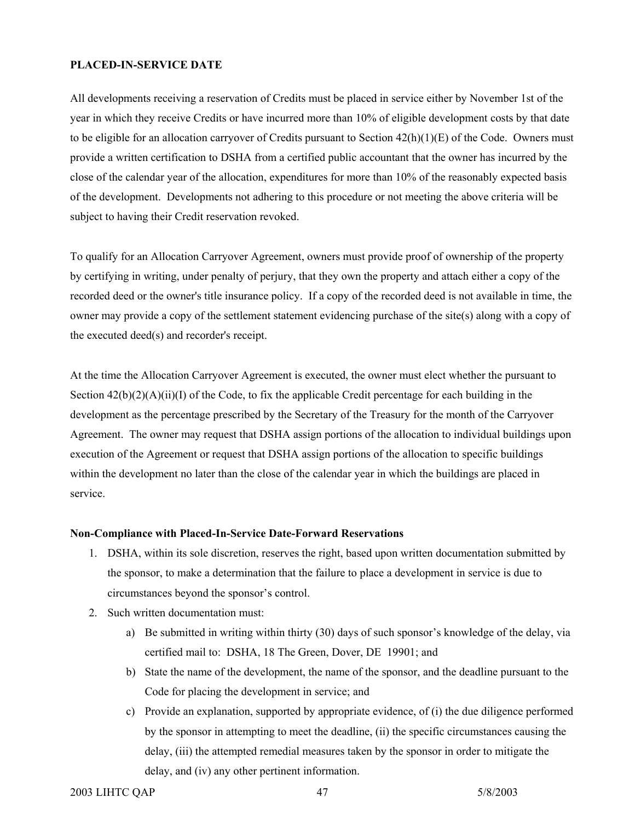#### **PLACED-IN-SERVICE DATE**

All developments receiving a reservation of Credits must be placed in service either by November 1st of the year in which they receive Credits or have incurred more than 10% of eligible development costs by that date to be eligible for an allocation carryover of Credits pursuant to Section  $42(h)(1)(E)$  of the Code. Owners must provide a written certification to DSHA from a certified public accountant that the owner has incurred by the close of the calendar year of the allocation, expenditures for more than 10% of the reasonably expected basis of the development. Developments not adhering to this procedure or not meeting the above criteria will be subject to having their Credit reservation revoked.

To qualify for an Allocation Carryover Agreement, owners must provide proof of ownership of the property by certifying in writing, under penalty of perjury, that they own the property and attach either a copy of the recorded deed or the owner's title insurance policy. If a copy of the recorded deed is not available in time, the owner may provide a copy of the settlement statement evidencing purchase of the site(s) along with a copy of the executed deed(s) and recorder's receipt.

At the time the Allocation Carryover Agreement is executed, the owner must elect whether the pursuant to Section  $42(b)(2)(A)(ii)(I)$  of the Code, to fix the applicable Credit percentage for each building in the development as the percentage prescribed by the Secretary of the Treasury for the month of the Carryover Agreement. The owner may request that DSHA assign portions of the allocation to individual buildings upon execution of the Agreement or request that DSHA assign portions of the allocation to specific buildings within the development no later than the close of the calendar year in which the buildings are placed in service.

#### **Non-Compliance with Placed-In-Service Date-Forward Reservations**

- 1. DSHA, within its sole discretion, reserves the right, based upon written documentation submitted by the sponsor, to make a determination that the failure to place a development in service is due to circumstances beyond the sponsor's control.
- 2. Such written documentation must:
	- a) Be submitted in writing within thirty (30) days of such sponsor's knowledge of the delay, via certified mail to: DSHA, 18 The Green, Dover, DE 19901; and
	- b) State the name of the development, the name of the sponsor, and the deadline pursuant to the Code for placing the development in service; and
	- c) Provide an explanation, supported by appropriate evidence, of (i) the due diligence performed by the sponsor in attempting to meet the deadline, (ii) the specific circumstances causing the delay, (iii) the attempted remedial measures taken by the sponsor in order to mitigate the delay, and (iv) any other pertinent information.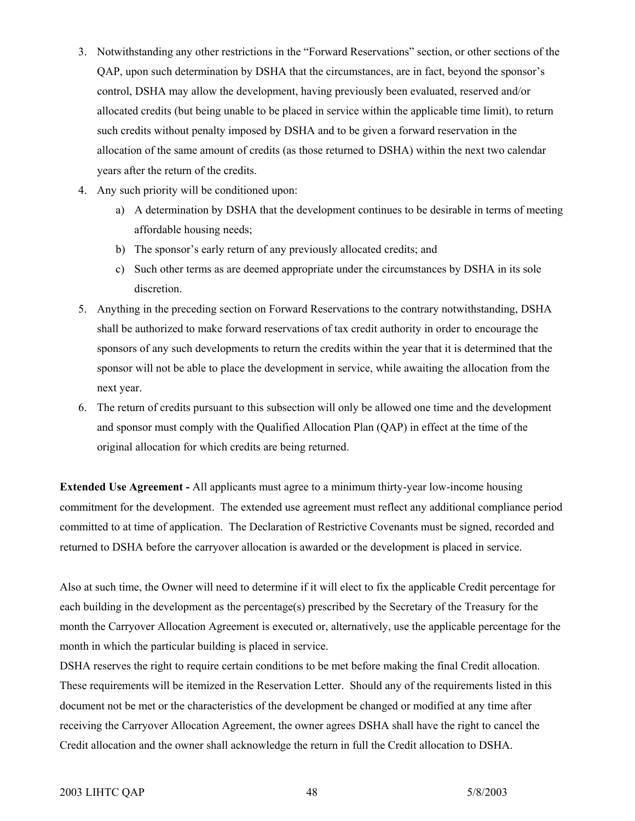- 3. Notwithstanding any other restrictions in the "Forward Reservations" section, or other sections of the QAP, upon such determination by DSHA that the circumstances, are in fact, beyond the sponsor's control, DSHA may allow the development, having previously been evaluated, reserved and/or allocated credits (but being unable to be placed in service within the applicable time limit), to return such credits without penalty imposed by DSHA and to be given a forward reservation in the allocation of the same amount of credits (as those returned to DSHA) within the next two calendar years after the return of the credits.
- 4. Any such priority will be conditioned upon:
	- a) A determination by DSHA that the development continues to be desirable in terms of meeting affordable housing needs;
	- b) The sponsor's early return of any previously allocated credits; and
	- c) Such other terms as are deemed appropriate under the circumstances by DSHA in its sole discretion.
- 5. Anything in the preceding section on Forward Reservations to the contrary notwithstanding, DSHA shall be authorized to make forward reservations of tax credit authority in order to encourage the sponsors of any such developments to return the credits within the year that it is determined that the sponsor will not be able to place the development in service, while awaiting the allocation from the next year.
- 6. The return of credits pursuant to this subsection will only be allowed one time and the development and sponsor must comply with the Qualified Allocation Plan (QAP) in effect at the time of the original allocation for which credits are being returned.

**Extended Use Agreement -** All applicants must agree to a minimum thirty-year low-income housing commitment for the development. The extended use agreement must reflect any additional compliance period committed to at time of application. The Declaration of Restrictive Covenants must be signed, recorded and returned to DSHA before the carryover allocation is awarded or the development is placed in service.

Also at such time, the Owner will need to determine if it will elect to fix the applicable Credit percentage for each building in the development as the percentage(s) prescribed by the Secretary of the Treasury for the month the Carryover Allocation Agreement is executed or, alternatively, use the applicable percentage for the month in which the particular building is placed in service.

DSHA reserves the right to require certain conditions to be met before making the final Credit allocation. These requirements will be itemized in the Reservation Letter. Should any of the requirements listed in this document not be met or the characteristics of the development be changed or modified at any time after receiving the Carryover Allocation Agreement, the owner agrees DSHA shall have the right to cancel the Credit allocation and the owner shall acknowledge the return in full the Credit allocation to DSHA.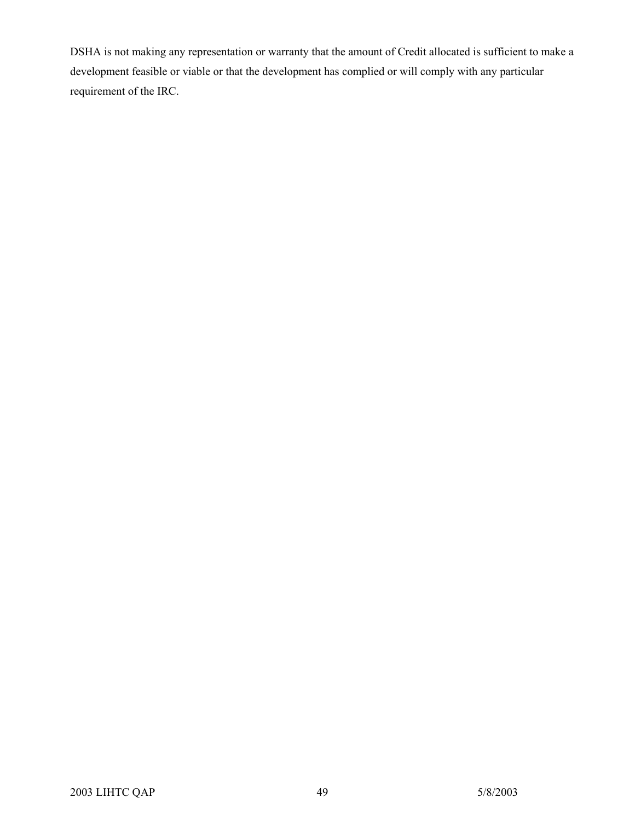DSHA is not making any representation or warranty that the amount of Credit allocated is sufficient to make a development feasible or viable or that the development has complied or will comply with any particular requirement of the IRC.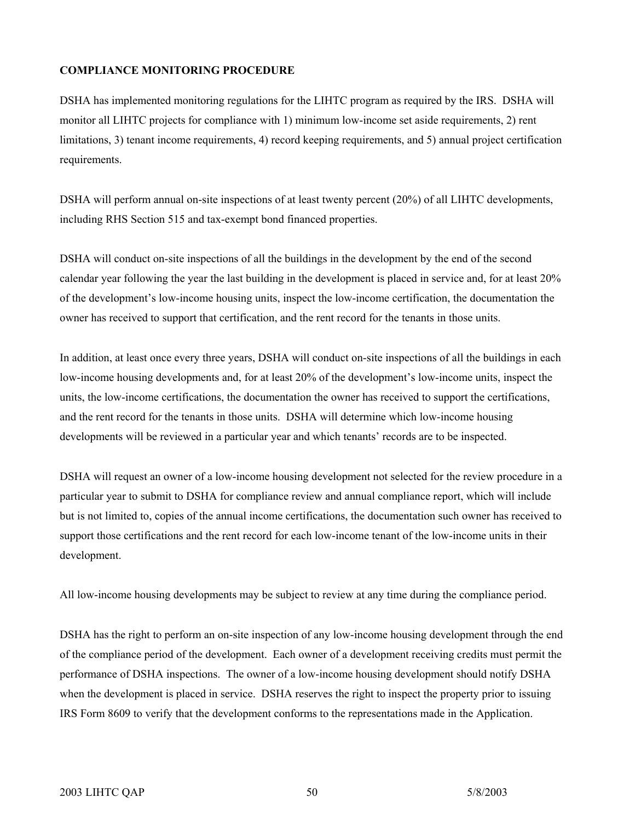#### **COMPLIANCE MONITORING PROCEDURE**

DSHA has implemented monitoring regulations for the LIHTC program as required by the IRS. DSHA will monitor all LIHTC projects for compliance with 1) minimum low-income set aside requirements, 2) rent limitations, 3) tenant income requirements, 4) record keeping requirements, and 5) annual project certification requirements.

DSHA will perform annual on-site inspections of at least twenty percent (20%) of all LIHTC developments, including RHS Section 515 and tax-exempt bond financed properties.

DSHA will conduct on-site inspections of all the buildings in the development by the end of the second calendar year following the year the last building in the development is placed in service and, for at least 20% of the development's low-income housing units, inspect the low-income certification, the documentation the owner has received to support that certification, and the rent record for the tenants in those units.

In addition, at least once every three years, DSHA will conduct on-site inspections of all the buildings in each low-income housing developments and, for at least 20% of the development's low-income units, inspect the units, the low-income certifications, the documentation the owner has received to support the certifications, and the rent record for the tenants in those units. DSHA will determine which low-income housing developments will be reviewed in a particular year and which tenants' records are to be inspected.

DSHA will request an owner of a low-income housing development not selected for the review procedure in a particular year to submit to DSHA for compliance review and annual compliance report, which will include but is not limited to, copies of the annual income certifications, the documentation such owner has received to support those certifications and the rent record for each low-income tenant of the low-income units in their development.

All low-income housing developments may be subject to review at any time during the compliance period.

DSHA has the right to perform an on-site inspection of any low-income housing development through the end of the compliance period of the development. Each owner of a development receiving credits must permit the performance of DSHA inspections. The owner of a low-income housing development should notify DSHA when the development is placed in service. DSHA reserves the right to inspect the property prior to issuing IRS Form 8609 to verify that the development conforms to the representations made in the Application.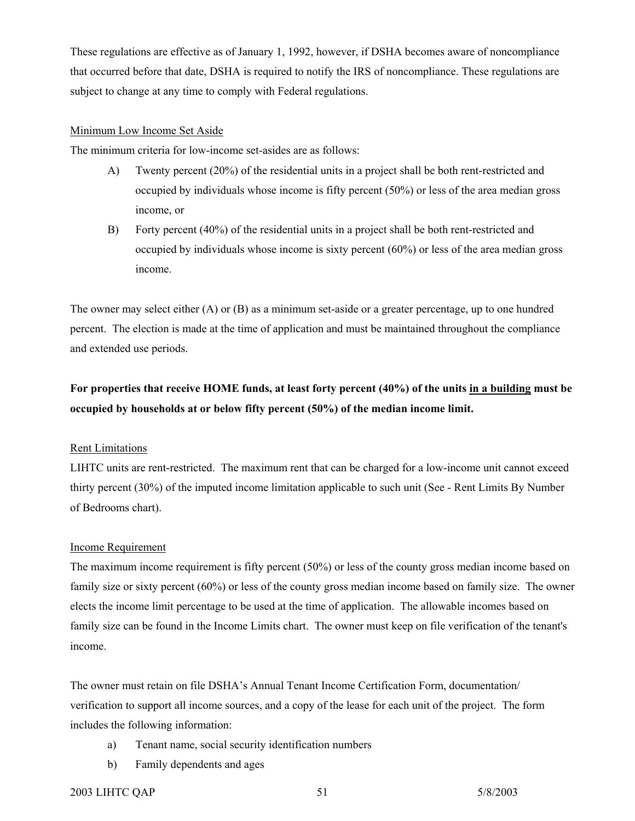These regulations are effective as of January 1, 1992, however, if DSHA becomes aware of noncompliance that occurred before that date, DSHA is required to notify the IRS of noncompliance. These regulations are subject to change at any time to comply with Federal regulations.

#### Minimum Low Income Set Aside

The minimum criteria for low-income set-asides are as follows:

- A) Twenty percent (20%) of the residential units in a project shall be both rent-restricted and occupied by individuals whose income is fifty percent (50%) or less of the area median gross income, or
- B) Forty percent (40%) of the residential units in a project shall be both rent-restricted and occupied by individuals whose income is sixty percent (60%) or less of the area median gross income.

The owner may select either (A) or (B) as a minimum set-aside or a greater percentage, up to one hundred percent. The election is made at the time of application and must be maintained throughout the compliance and extended use periods.

## **For properties that receive HOME funds, at least forty percent (40%) of the units in a building must be occupied by households at or below fifty percent (50%) of the median income limit.**

#### Rent Limitations

LIHTC units are rent-restricted. The maximum rent that can be charged for a low-income unit cannot exceed thirty percent (30%) of the imputed income limitation applicable to such unit (See - Rent Limits By Number of Bedrooms chart).

#### Income Requirement

The maximum income requirement is fifty percent (50%) or less of the county gross median income based on family size or sixty percent (60%) or less of the county gross median income based on family size. The owner elects the income limit percentage to be used at the time of application. The allowable incomes based on family size can be found in the Income Limits chart. The owner must keep on file verification of the tenant's income.

The owner must retain on file DSHA's Annual Tenant Income Certification Form, documentation/ verification to support all income sources, and a copy of the lease for each unit of the project. The form includes the following information:

- a) Tenant name, social security identification numbers
- b) Family dependents and ages

#### 2003 LIHTC QAP 5/8/2003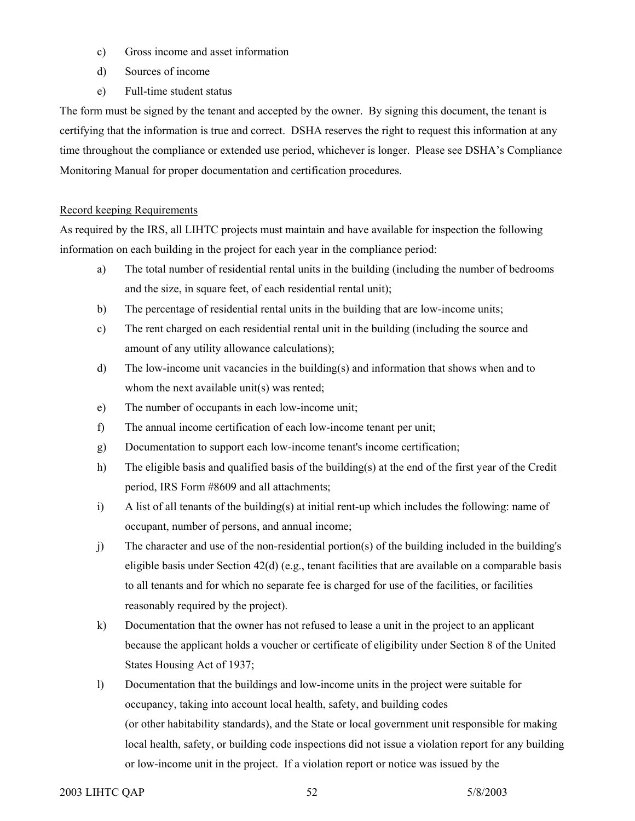- c) Gross income and asset information
- d) Sources of income
- e) Full-time student status

The form must be signed by the tenant and accepted by the owner. By signing this document, the tenant is certifying that the information is true and correct. DSHA reserves the right to request this information at any time throughout the compliance or extended use period, whichever is longer. Please see DSHA's Compliance Monitoring Manual for proper documentation and certification procedures.

#### Record keeping Requirements

As required by the IRS, all LIHTC projects must maintain and have available for inspection the following information on each building in the project for each year in the compliance period:

- a) The total number of residential rental units in the building (including the number of bedrooms and the size, in square feet, of each residential rental unit);
- b) The percentage of residential rental units in the building that are low-income units;
- c) The rent charged on each residential rental unit in the building (including the source and amount of any utility allowance calculations);
- d) The low-income unit vacancies in the building(s) and information that shows when and to whom the next available unit(s) was rented;
- e) The number of occupants in each low-income unit;
- f) The annual income certification of each low-income tenant per unit;
- g) Documentation to support each low-income tenant's income certification;
- h) The eligible basis and qualified basis of the building(s) at the end of the first year of the Credit period, IRS Form #8609 and all attachments;
- i) A list of all tenants of the building(s) at initial rent-up which includes the following: name of occupant, number of persons, and annual income;
- j) The character and use of the non-residential portion(s) of the building included in the building's eligible basis under Section  $42(d)$  (e.g., tenant facilities that are available on a comparable basis to all tenants and for which no separate fee is charged for use of the facilities, or facilities reasonably required by the project).
- k) Documentation that the owner has not refused to lease a unit in the project to an applicant because the applicant holds a voucher or certificate of eligibility under Section 8 of the United States Housing Act of 1937;
- l) Documentation that the buildings and low-income units in the project were suitable for occupancy, taking into account local health, safety, and building codes (or other habitability standards), and the State or local government unit responsible for making local health, safety, or building code inspections did not issue a violation report for any building or low-income unit in the project. If a violation report or notice was issued by the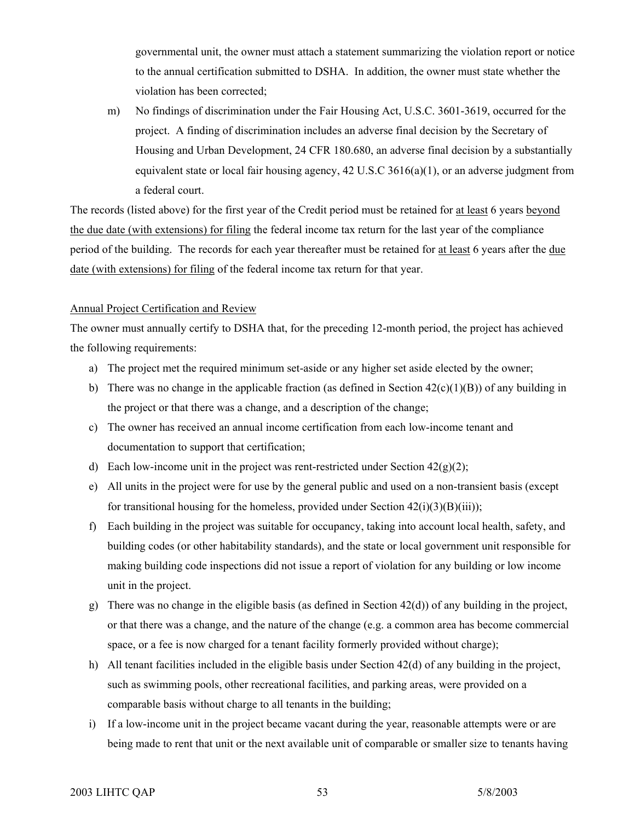governmental unit, the owner must attach a statement summarizing the violation report or notice to the annual certification submitted to DSHA. In addition, the owner must state whether the violation has been corrected;

m) No findings of discrimination under the Fair Housing Act, U.S.C. 3601-3619, occurred for the project. A finding of discrimination includes an adverse final decision by the Secretary of Housing and Urban Development, 24 CFR 180.680, an adverse final decision by a substantially equivalent state or local fair housing agency, 42 U.S.C 3616(a)(1), or an adverse judgment from a federal court.

The records (listed above) for the first year of the Credit period must be retained for at least 6 years beyond the due date (with extensions) for filing the federal income tax return for the last year of the compliance period of the building. The records for each year thereafter must be retained for at least 6 years after the due date (with extensions) for filing of the federal income tax return for that year.

#### Annual Project Certification and Review

The owner must annually certify to DSHA that, for the preceding 12-month period, the project has achieved the following requirements:

- a) The project met the required minimum set-aside or any higher set aside elected by the owner;
- b) There was no change in the applicable fraction (as defined in Section  $42(c)(1)(B)$ ) of any building in the project or that there was a change, and a description of the change;
- c) The owner has received an annual income certification from each low-income tenant and documentation to support that certification;
- d) Each low-income unit in the project was rent-restricted under Section  $42(g)(2)$ ;
- e) All units in the project were for use by the general public and used on a non-transient basis (except for transitional housing for the homeless, provided under Section  $42(i)(3)(B(iii))$ ;
- f) Each building in the project was suitable for occupancy, taking into account local health, safety, and building codes (or other habitability standards), and the state or local government unit responsible for making building code inspections did not issue a report of violation for any building or low income unit in the project.
- g) There was no change in the eligible basis (as defined in Section  $42(d)$ ) of any building in the project, or that there was a change, and the nature of the change (e.g. a common area has become commercial space, or a fee is now charged for a tenant facility formerly provided without charge);
- h) All tenant facilities included in the eligible basis under Section 42(d) of any building in the project, such as swimming pools, other recreational facilities, and parking areas, were provided on a comparable basis without charge to all tenants in the building;
- i) If a low-income unit in the project became vacant during the year, reasonable attempts were or are being made to rent that unit or the next available unit of comparable or smaller size to tenants having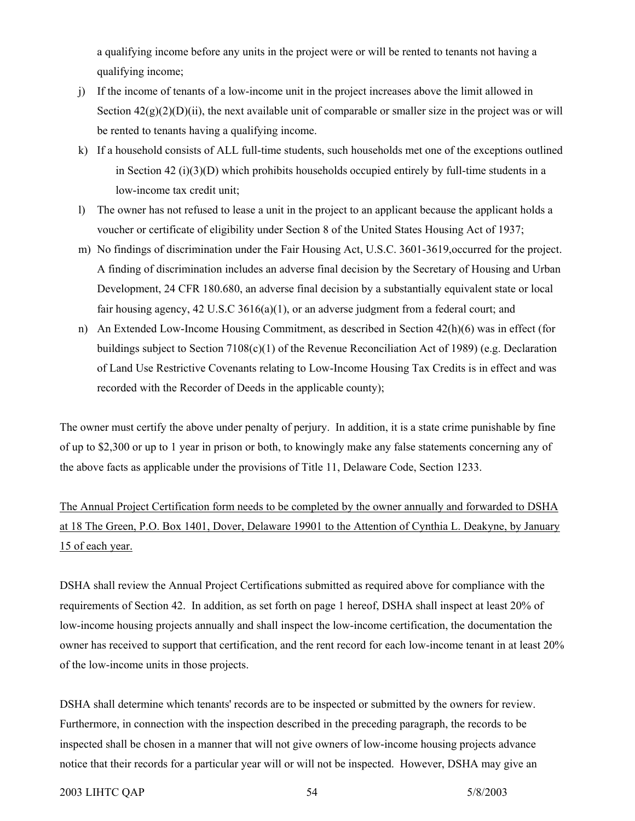a qualifying income before any units in the project were or will be rented to tenants not having a qualifying income;

- j) If the income of tenants of a low-income unit in the project increases above the limit allowed in Section  $42(g)(2)(D)(ii)$ , the next available unit of comparable or smaller size in the project was or will be rented to tenants having a qualifying income.
- k) If a household consists of ALL full-time students, such households met one of the exceptions outlined in Section 42 (i)(3)(D) which prohibits households occupied entirely by full-time students in a low-income tax credit unit;
- l) The owner has not refused to lease a unit in the project to an applicant because the applicant holds a voucher or certificate of eligibility under Section 8 of the United States Housing Act of 1937;
- m) No findings of discrimination under the Fair Housing Act, U.S.C. 3601-3619,occurred for the project. A finding of discrimination includes an adverse final decision by the Secretary of Housing and Urban Development, 24 CFR 180.680, an adverse final decision by a substantially equivalent state or local fair housing agency,  $42 \text{ U.S.C } 3616(a)(1)$ , or an adverse judgment from a federal court; and
- n) An Extended Low-Income Housing Commitment, as described in Section 42(h)(6) was in effect (for buildings subject to Section 7108(c)(1) of the Revenue Reconciliation Act of 1989) (e.g. Declaration of Land Use Restrictive Covenants relating to Low-Income Housing Tax Credits is in effect and was recorded with the Recorder of Deeds in the applicable county);

The owner must certify the above under penalty of perjury. In addition, it is a state crime punishable by fine of up to \$2,300 or up to 1 year in prison or both, to knowingly make any false statements concerning any of the above facts as applicable under the provisions of Title 11, Delaware Code, Section 1233.

The Annual Project Certification form needs to be completed by the owner annually and forwarded to DSHA at 18 The Green, P.O. Box 1401, Dover, Delaware 19901 to the Attention of Cynthia L. Deakyne, by January 15 of each year.

DSHA shall review the Annual Project Certifications submitted as required above for compliance with the requirements of Section 42. In addition, as set forth on page 1 hereof, DSHA shall inspect at least 20% of low-income housing projects annually and shall inspect the low-income certification, the documentation the owner has received to support that certification, and the rent record for each low-income tenant in at least 20% of the low-income units in those projects.

DSHA shall determine which tenants' records are to be inspected or submitted by the owners for review. Furthermore, in connection with the inspection described in the preceding paragraph, the records to be inspected shall be chosen in a manner that will not give owners of low-income housing projects advance notice that their records for a particular year will or will not be inspected. However, DSHA may give an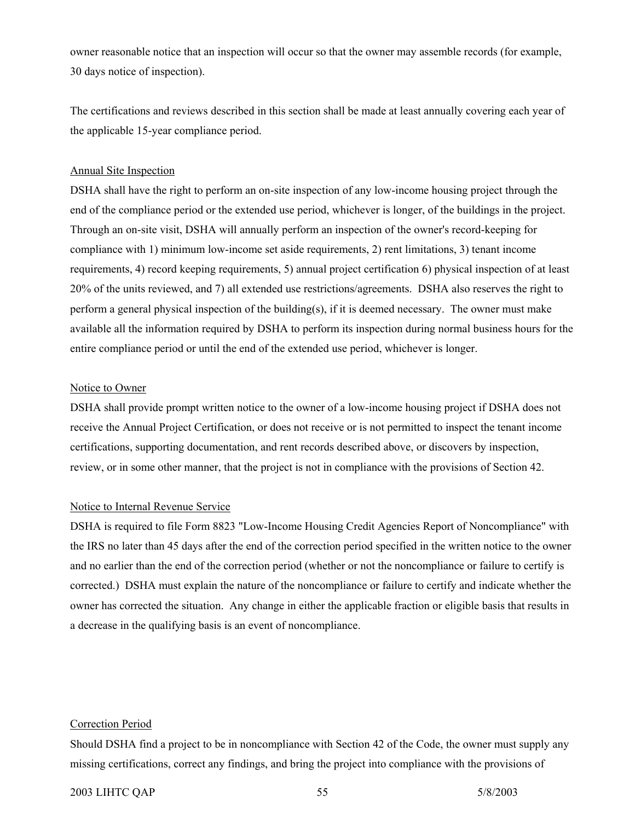owner reasonable notice that an inspection will occur so that the owner may assemble records (for example, 30 days notice of inspection).

The certifications and reviews described in this section shall be made at least annually covering each year of the applicable 15-year compliance period.

#### Annual Site Inspection

DSHA shall have the right to perform an on-site inspection of any low-income housing project through the end of the compliance period or the extended use period, whichever is longer, of the buildings in the project. Through an on-site visit, DSHA will annually perform an inspection of the owner's record-keeping for compliance with 1) minimum low-income set aside requirements, 2) rent limitations, 3) tenant income requirements, 4) record keeping requirements, 5) annual project certification 6) physical inspection of at least 20% of the units reviewed, and 7) all extended use restrictions/agreements. DSHA also reserves the right to perform a general physical inspection of the building(s), if it is deemed necessary. The owner must make available all the information required by DSHA to perform its inspection during normal business hours for the entire compliance period or until the end of the extended use period, whichever is longer.

#### Notice to Owner

DSHA shall provide prompt written notice to the owner of a low-income housing project if DSHA does not receive the Annual Project Certification, or does not receive or is not permitted to inspect the tenant income certifications, supporting documentation, and rent records described above, or discovers by inspection, review, or in some other manner, that the project is not in compliance with the provisions of Section 42.

#### Notice to Internal Revenue Service

DSHA is required to file Form 8823 "Low-Income Housing Credit Agencies Report of Noncompliance" with the IRS no later than 45 days after the end of the correction period specified in the written notice to the owner and no earlier than the end of the correction period (whether or not the noncompliance or failure to certify is corrected.) DSHA must explain the nature of the noncompliance or failure to certify and indicate whether the owner has corrected the situation. Any change in either the applicable fraction or eligible basis that results in a decrease in the qualifying basis is an event of noncompliance.

#### Correction Period

Should DSHA find a project to be in noncompliance with Section 42 of the Code, the owner must supply any missing certifications, correct any findings, and bring the project into compliance with the provisions of

#### 2003 LIHTC QAP 55 5000 5/8/2003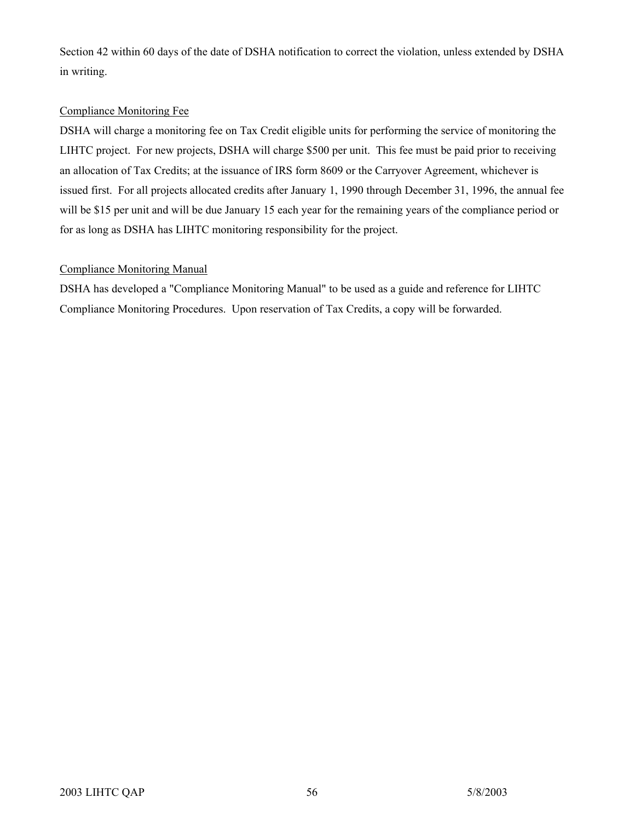Section 42 within 60 days of the date of DSHA notification to correct the violation, unless extended by DSHA in writing.

### Compliance Monitoring Fee

DSHA will charge a monitoring fee on Tax Credit eligible units for performing the service of monitoring the LIHTC project. For new projects, DSHA will charge \$500 per unit. This fee must be paid prior to receiving an allocation of Tax Credits; at the issuance of IRS form 8609 or the Carryover Agreement, whichever is issued first. For all projects allocated credits after January 1, 1990 through December 31, 1996, the annual fee will be \$15 per unit and will be due January 15 each year for the remaining years of the compliance period or for as long as DSHA has LIHTC monitoring responsibility for the project.

#### Compliance Monitoring Manual

DSHA has developed a "Compliance Monitoring Manual" to be used as a guide and reference for LIHTC Compliance Monitoring Procedures. Upon reservation of Tax Credits, a copy will be forwarded.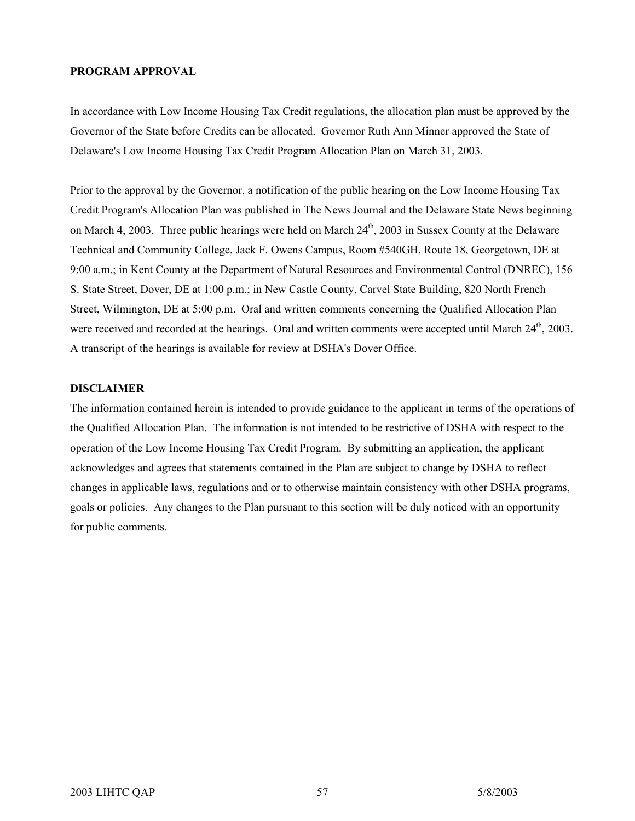#### **PROGRAM APPROVAL**

In accordance with Low Income Housing Tax Credit regulations, the allocation plan must be approved by the Governor of the State before Credits can be allocated. Governor Ruth Ann Minner approved the State of Delaware's Low Income Housing Tax Credit Program Allocation Plan on March 31, 2003.

Prior to the approval by the Governor, a notification of the public hearing on the Low Income Housing Tax Credit Program's Allocation Plan was published in The News Journal and the Delaware State News beginning on March 4, 2003. Three public hearings were held on March 24<sup>th</sup>, 2003 in Sussex County at the Delaware Technical and Community College, Jack F. Owens Campus, Room #540GH, Route 18, Georgetown, DE at 9:00 a.m.; in Kent County at the Department of Natural Resources and Environmental Control (DNREC), 156 S. State Street, Dover, DE at 1:00 p.m.; in New Castle County, Carvel State Building, 820 North French Street, Wilmington, DE at 5:00 p.m. Oral and written comments concerning the Qualified Allocation Plan were received and recorded at the hearings. Oral and written comments were accepted until March 24<sup>th</sup>, 2003. A transcript of the hearings is available for review at DSHA's Dover Office.

#### **DISCLAIMER**

The information contained herein is intended to provide guidance to the applicant in terms of the operations of the Qualified Allocation Plan. The information is not intended to be restrictive of DSHA with respect to the operation of the Low Income Housing Tax Credit Program. By submitting an application, the applicant acknowledges and agrees that statements contained in the Plan are subject to change by DSHA to reflect changes in applicable laws, regulations and or to otherwise maintain consistency with other DSHA programs, goals or policies. Any changes to the Plan pursuant to this section will be duly noticed with an opportunity for public comments.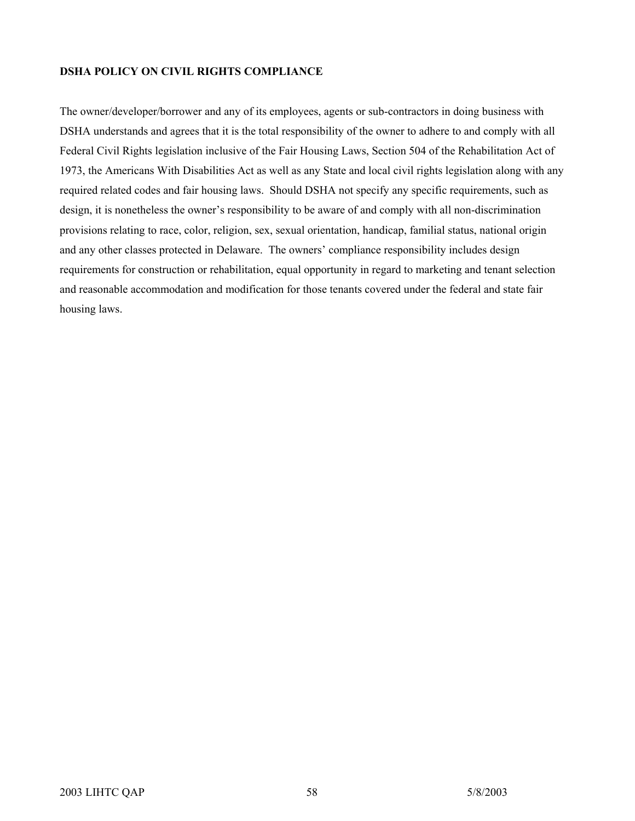#### **DSHA POLICY ON CIVIL RIGHTS COMPLIANCE**

The owner/developer/borrower and any of its employees, agents or sub-contractors in doing business with DSHA understands and agrees that it is the total responsibility of the owner to adhere to and comply with all Federal Civil Rights legislation inclusive of the Fair Housing Laws, Section 504 of the Rehabilitation Act of 1973, the Americans With Disabilities Act as well as any State and local civil rights legislation along with any required related codes and fair housing laws. Should DSHA not specify any specific requirements, such as design, it is nonetheless the owner's responsibility to be aware of and comply with all non-discrimination provisions relating to race, color, religion, sex, sexual orientation, handicap, familial status, national origin and any other classes protected in Delaware. The owners' compliance responsibility includes design requirements for construction or rehabilitation, equal opportunity in regard to marketing and tenant selection and reasonable accommodation and modification for those tenants covered under the federal and state fair housing laws.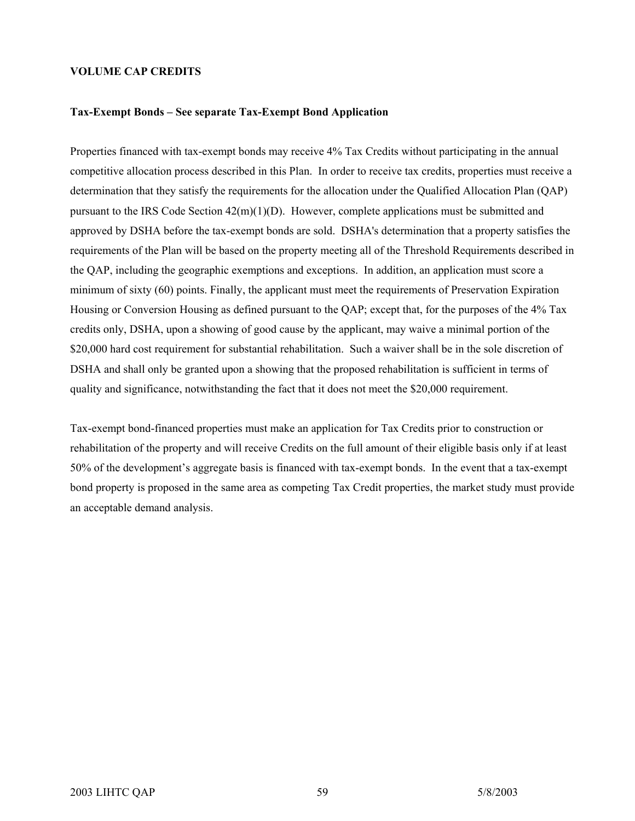#### **VOLUME CAP CREDITS**

#### **Tax-Exempt Bonds – See separate Tax-Exempt Bond Application**

Properties financed with tax-exempt bonds may receive 4% Tax Credits without participating in the annual competitive allocation process described in this Plan. In order to receive tax credits, properties must receive a determination that they satisfy the requirements for the allocation under the Qualified Allocation Plan (QAP) pursuant to the IRS Code Section 42(m)(1)(D). However, complete applications must be submitted and approved by DSHA before the tax-exempt bonds are sold. DSHA's determination that a property satisfies the requirements of the Plan will be based on the property meeting all of the Threshold Requirements described in the QAP, including the geographic exemptions and exceptions. In addition, an application must score a minimum of sixty (60) points. Finally, the applicant must meet the requirements of Preservation Expiration Housing or Conversion Housing as defined pursuant to the QAP; except that, for the purposes of the 4% Tax credits only, DSHA, upon a showing of good cause by the applicant, may waive a minimal portion of the \$20,000 hard cost requirement for substantial rehabilitation. Such a waiver shall be in the sole discretion of DSHA and shall only be granted upon a showing that the proposed rehabilitation is sufficient in terms of quality and significance, notwithstanding the fact that it does not meet the \$20,000 requirement.

Tax-exempt bond-financed properties must make an application for Tax Credits prior to construction or rehabilitation of the property and will receive Credits on the full amount of their eligible basis only if at least 50% of the development's aggregate basis is financed with tax-exempt bonds. In the event that a tax-exempt bond property is proposed in the same area as competing Tax Credit properties, the market study must provide an acceptable demand analysis.